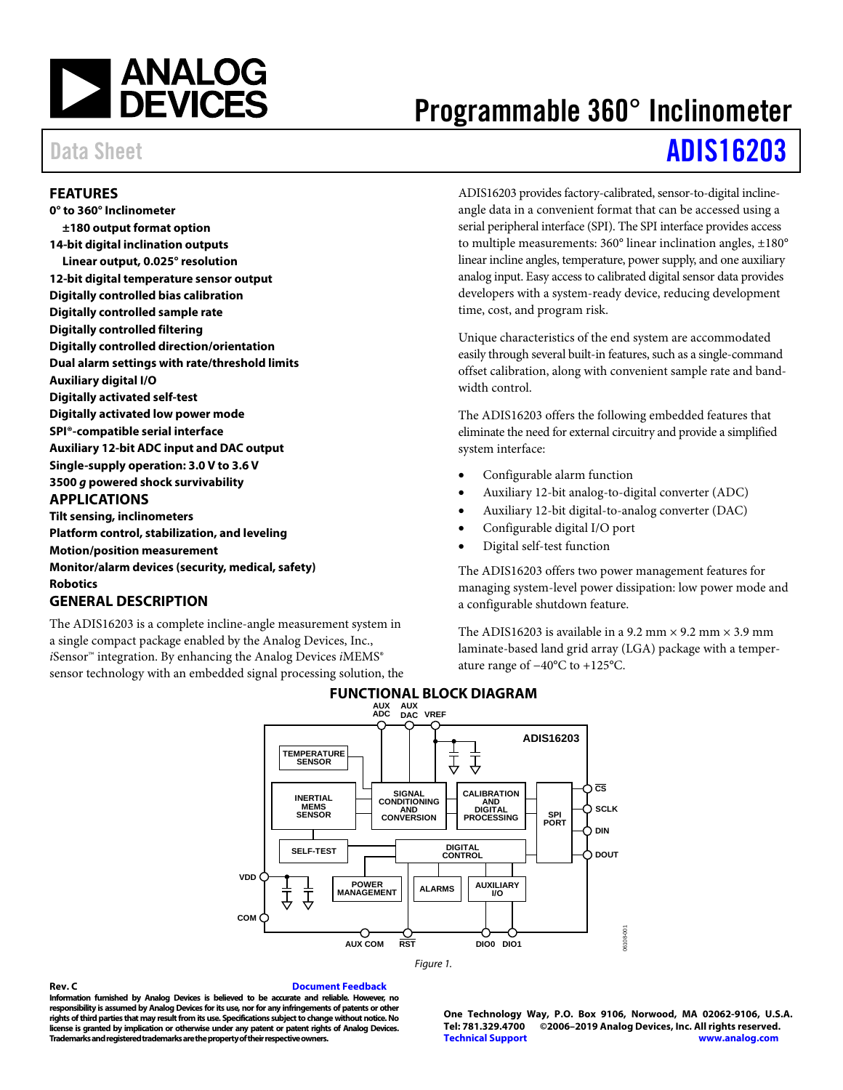

# Programmable 360° Inclinometer

# Data Sheet **[ADIS16203](https://www.analog.com/ADIS16203?doc=ADIS16203.pdf)**

### <span id="page-0-0"></span>**FEATURES**

**0° to 360° Inclinometer ±180 output format option 14-bit digital inclination outputs Linear output, 0.025° resolution 12-bit digital temperature sensor output Digitally controlled bias calibration Digitally controlled sample rate Digitally controlled filtering Digitally controlled direction/orientation Dual alarm settings with rate/threshold limits Auxiliary digital I/O Digitally activated self-test Digitally activated low power mode SPI®-compatible serial interface Auxiliary 12-bit ADC input and DAC output Single-supply operation: 3.0 V to 3.6 V 3500** *g* **powered shock survivability APPLICATIONS Tilt sensing, inclinometers Platform control, stabilization, and leveling Motion/position measurement Monitor/alarm devices (security, medical, safety) Robotics**

## <span id="page-0-2"></span><span id="page-0-1"></span>**GENERAL DESCRIPTION**

<span id="page-0-3"></span>The ADIS16203 is a complete incline-angle measurement system in a single compact package enabled by the Analog Devices, Inc., *i*Sensor™ integration. By enhancing the Analog Devices *iMEMS*<sup>®</sup> sensor technology with an embedded signal processing solution, the ADIS16203 provides factory-calibrated, sensor-to-digital inclineangle data in a convenient format that can be accessed using a serial peripheral interface (SPI). The SPI interface provides access to multiple measurements: 360° linear inclination angles, ±180° linear incline angles, temperature, power supply, and one auxiliary analog input. Easy access to calibrated digital sensor data provides developers with a system-ready device, reducing development time, cost, and program risk.

Unique characteristics of the end system are accommodated easily through several built-in features, such as a single-command offset calibration, along with convenient sample rate and bandwidth control.

The ADIS16203 offers the following embedded features that eliminate the need for external circuitry and provide a simplified system interface:

- Configurable alarm function
- Auxiliary 12-bit analog-to-digital converter (ADC)
- Auxiliary 12-bit digital-to-analog converter (DAC)
- Configurable digital I/O port
- Digital self-test function

The ADIS16203 offers two power management features for managing system-level power dissipation: low power mode and a configurable shutdown feature.

The ADIS16203 is available in a 9.2 mm  $\times$  9.2 mm  $\times$  3.9 mm laminate-based land grid array (LGA) package with a temperature range of −40°C to +125°C.



## **FUNCTIONAL BLOCK DIAGRAM**

*Figure 1.* 

**Rev. C [Document Feedback](https://form.analog.com/Form_Pages/feedback/documentfeedback.aspx?doc=ADIS16203.pdf&product=ADIS16203&rev=C) Information furnished by Analog Devices is believed to be accurate and reliable. However, no responsibility is assumed by Analog Devices for its use, nor for any infringements of patents or other rights of third parties that may result from its use. Specifications subject to change without notice. No license is granted by implication or otherwise under any patent or patent rights of Analog Devices. Trademarks and registered trademarks are the property of their respective owners.**

**One Technology Way, P.O. Box 9106, Norwood, MA 02062-9106, U.S.A. Tel: 781.329.4700 ©2006–2019 Analog Devices, Inc. All rights reserved. [Technical Support](http://www.analog.com/en/content/technical_support_page/fca.html) [www.analog.com](http://www.analog.com/)**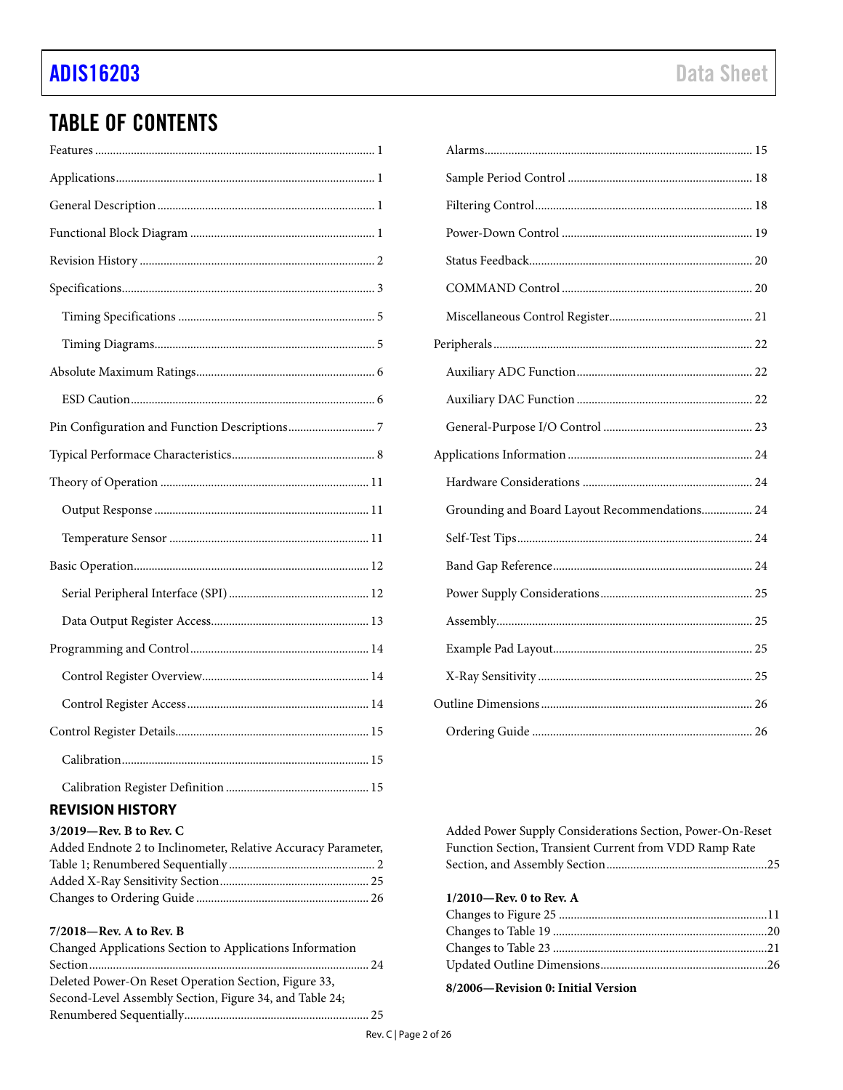# **TABLE OF CONTENTS**

# <span id="page-1-0"></span>**REVISION HISTORY**

|  |  |  |  |  |  | $3/2019$ —Rev. B to Rev. C |  |
|--|--|--|--|--|--|----------------------------|--|
|  |  |  |  |  |  | 111171722771               |  |

| Added Endnote 2 to Inclinometer, Relative Accuracy Parameter, |  |
|---------------------------------------------------------------|--|
|                                                               |  |
|                                                               |  |
|                                                               |  |
|                                                               |  |

#### 7/2018-Rev. A to Rev. B

| Changed Applications Section to Applications Information |  |
|----------------------------------------------------------|--|
|                                                          |  |
| Deleted Power-On Reset Operation Section, Figure 33,     |  |
| Second-Level Assembly Section, Figure 34, and Table 24;  |  |
|                                                          |  |

| Grounding and Board Layout Recommendations 24 |
|-----------------------------------------------|
|                                               |
|                                               |
|                                               |
|                                               |
|                                               |
|                                               |
|                                               |

Added Power Supply Considerations Section, Power-On-Reset Function Section, Transient Current from VDD Ramp Rate 

1/2010-Rev. 0 to Rev. A

8/2006-Revision 0: Initial Version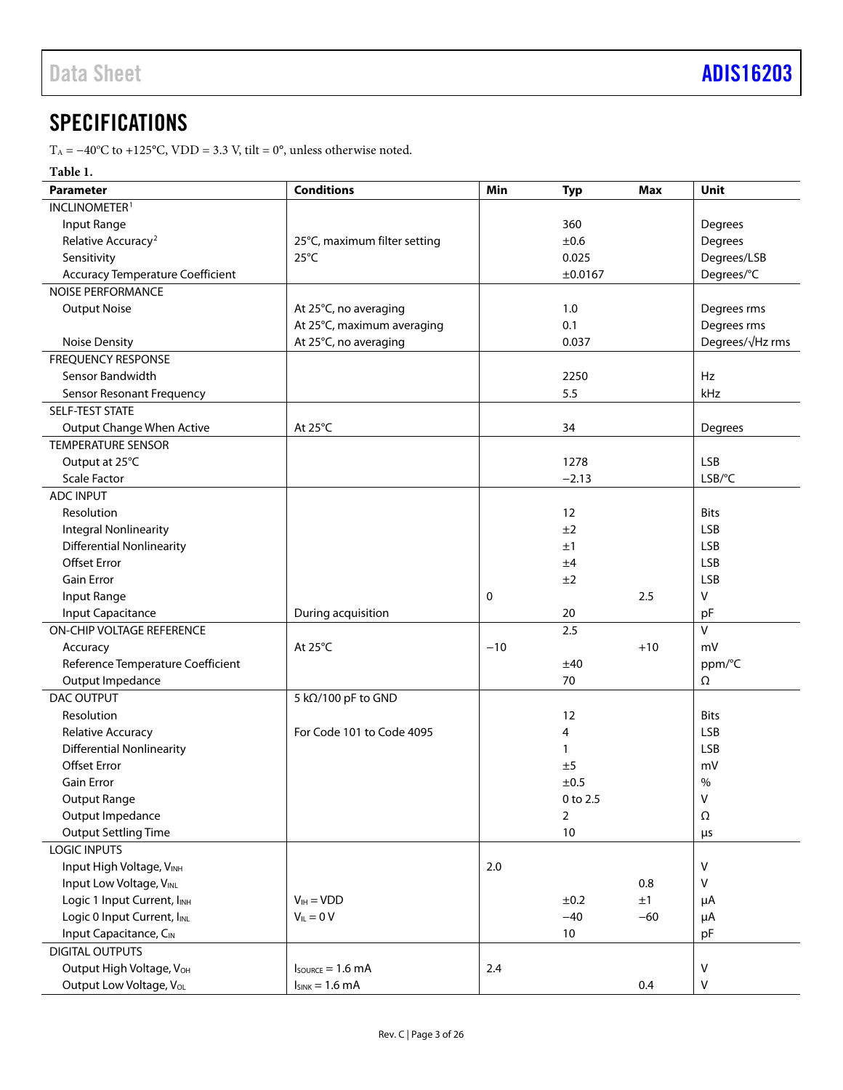# <span id="page-2-0"></span>**SPECIFICATIONS**

 $T_A = -40^{\circ}\text{C}$  to +125°C, VDD = 3.3 V, tilt = 0°, unless otherwise noted.

### **Table 1.**

| <b>Parameter</b>                                           | <b>Conditions</b>                    | Min   | <b>Typ</b>     | <b>Max</b>  | Unit            |
|------------------------------------------------------------|--------------------------------------|-------|----------------|-------------|-----------------|
| INCLINOMETER <sup>1</sup>                                  |                                      |       |                |             |                 |
| Input Range                                                |                                      |       | 360            |             | Degrees         |
| Relative Accuracy <sup>2</sup>                             | 25°C, maximum filter setting         |       | ±0.6           |             | Degrees         |
| Sensitivity                                                | $25^{\circ}$ C                       |       | 0.025          |             | Degrees/LSB     |
| <b>Accuracy Temperature Coefficient</b>                    |                                      |       | ±0.0167        |             | Degrees/°C      |
| <b>NOISE PERFORMANCE</b>                                   |                                      |       |                |             |                 |
| <b>Output Noise</b>                                        | At 25°C, no averaging                |       | 1.0            |             | Degrees rms     |
|                                                            | At 25°C, maximum averaging           |       | 0.1            |             | Degrees rms     |
| <b>Noise Density</b>                                       | At 25°C, no averaging                |       | 0.037          |             | Degrees/√Hz rms |
| <b>FREQUENCY RESPONSE</b>                                  |                                      |       |                |             |                 |
| Sensor Bandwidth                                           |                                      |       | 2250           |             | Hz              |
| <b>Sensor Resonant Frequency</b>                           |                                      |       | 5.5            |             | kHz             |
| SELF-TEST STATE                                            |                                      |       |                |             |                 |
| Output Change When Active                                  | At 25°C                              |       | 34             |             | Degrees         |
| <b>TEMPERATURE SENSOR</b>                                  |                                      |       |                |             |                 |
| Output at 25°C                                             |                                      |       | 1278           |             | <b>LSB</b>      |
| <b>Scale Factor</b>                                        |                                      |       | $-2.13$        |             | $LSB$ /°C       |
| <b>ADC INPUT</b>                                           |                                      |       |                |             |                 |
| Resolution                                                 |                                      |       | 12             |             | <b>Bits</b>     |
| <b>Integral Nonlinearity</b>                               |                                      |       | ±2             |             | <b>LSB</b>      |
| <b>Differential Nonlinearity</b>                           |                                      |       | ±1             |             | <b>LSB</b>      |
| <b>Offset Error</b>                                        |                                      |       | ±4             |             | <b>LSB</b>      |
| <b>Gain Error</b>                                          |                                      |       | ±2             |             | <b>LSB</b>      |
| Input Range                                                |                                      | 0     |                | 2.5         | V               |
| <b>Input Capacitance</b>                                   | During acquisition                   |       | 20             |             | pF              |
| ON-CHIP VOLTAGE REFERENCE                                  |                                      |       | 2.5            |             | V               |
| Accuracy                                                   | At $25^{\circ}$ C                    | $-10$ |                | $+10$       | mV              |
| Reference Temperature Coefficient                          |                                      |       | ±40            |             | ppm/°C          |
| Output Impedance                                           |                                      |       | 70             |             | Ω               |
| <b>DAC OUTPUT</b>                                          | 5 kΩ/100 pF to GND                   |       |                |             |                 |
| Resolution                                                 |                                      |       | 12             |             | <b>Bits</b>     |
| Relative Accuracy                                          | For Code 101 to Code 4095            |       | 4              |             | LSB             |
| <b>Differential Nonlinearity</b>                           |                                      |       | 1              |             | LSB             |
| <b>Offset Error</b>                                        |                                      |       | ±5             |             | mV              |
| <b>Gain Error</b>                                          |                                      |       | ±0.5           |             | $\%$            |
| <b>Output Range</b>                                        |                                      |       | 0 to 2.5       |             | $\mathsf{V}$    |
| Output Impedance                                           |                                      |       | $\overline{2}$ |             | Ω               |
| <b>Output Settling Time</b>                                |                                      |       | 10             |             |                 |
| <b>LOGIC INPUTS</b>                                        |                                      |       |                |             | μs              |
| Input High Voltage, VINH                                   |                                      | 2.0   |                |             | v               |
| Input Low Voltage, VINL                                    |                                      |       |                | 0.8         | V               |
|                                                            |                                      |       |                |             |                 |
| Logic 1 Input Current, IINH<br>Logic 0 Input Current, IINL | $V_{IH} = VDD$<br>$V_{IL} = 0 V$     |       | ±0.2<br>$-40$  | ±1<br>$-60$ | μA              |
| Input Capacitance, CIN                                     |                                      |       | $10\,$         |             | μA              |
|                                                            |                                      |       |                |             | pF              |
| <b>DIGITAL OUTPUTS</b>                                     |                                      |       |                |             |                 |
| Output High Voltage, V <sub>OH</sub>                       | $I_{\text{SOWRCE}} = 1.6 \text{ mA}$ | 2.4   |                |             | V               |
| Output Low Voltage, Vol.                                   | $I_{SINK} = 1.6 mA$                  |       |                | 0.4         | V               |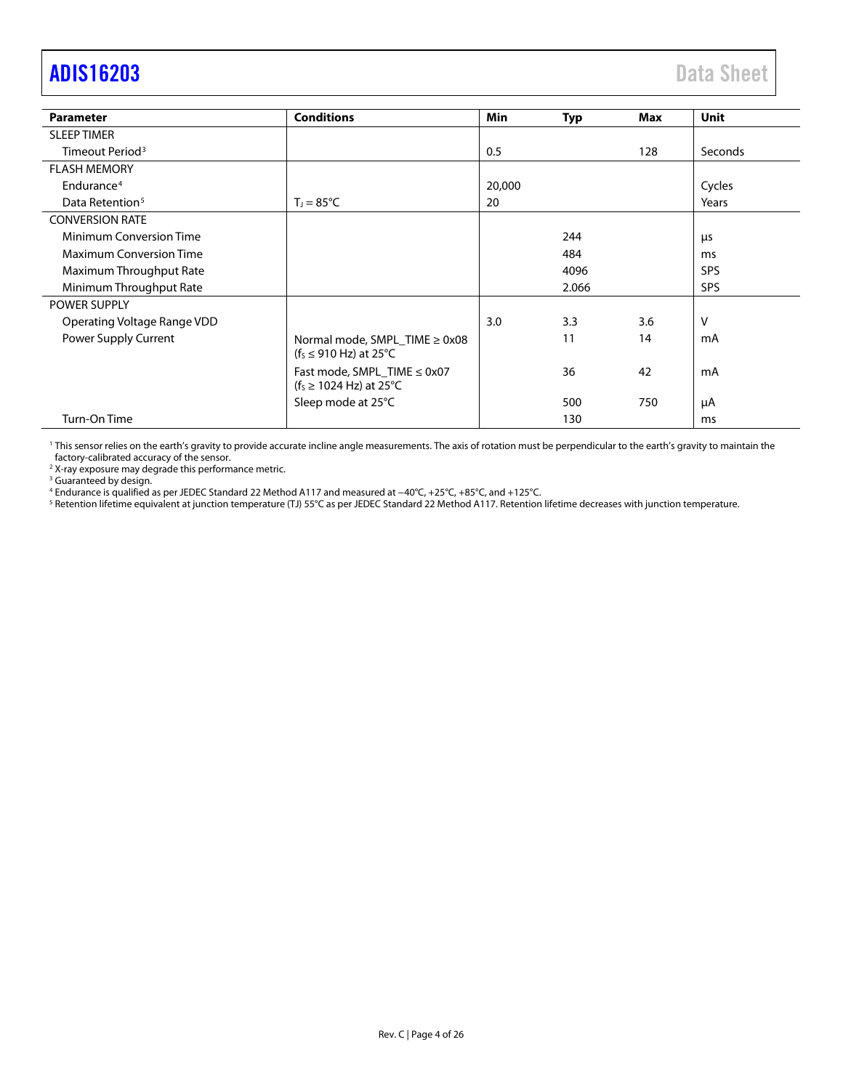# <span id="page-3-0"></span>[ADIS16203](https://www.analog.com/ADIS16203?doc=ADIS16203.pdf) Data Sheet

| <b>Parameter</b>               | <b>Conditions</b>                                                        | <b>Min</b> | Typ   | Max | <b>Unit</b> |
|--------------------------------|--------------------------------------------------------------------------|------------|-------|-----|-------------|
| <b>SLEEP TIMER</b>             |                                                                          |            |       |     |             |
| Timeout Period <sup>3</sup>    |                                                                          | 0.5        |       | 128 | Seconds     |
| <b>FLASH MEMORY</b>            |                                                                          |            |       |     |             |
| Endurance <sup>4</sup>         |                                                                          | 20,000     |       |     | Cycles      |
| Data Retention <sup>5</sup>    | $T_1 = 85^{\circ}C$                                                      | 20         |       |     | Years       |
| <b>CONVERSION RATE</b>         |                                                                          |            |       |     |             |
| <b>Minimum Conversion Time</b> |                                                                          |            | 244   |     | μs          |
| <b>Maximum Conversion Time</b> |                                                                          |            | 484   |     | ms          |
| Maximum Throughput Rate        |                                                                          |            | 4096  |     | <b>SPS</b>  |
| Minimum Throughput Rate        |                                                                          |            | 2.066 |     | <b>SPS</b>  |
| <b>POWER SUPPLY</b>            |                                                                          |            |       |     |             |
| Operating Voltage Range VDD    |                                                                          | 3.0        | 3.3   | 3.6 | V           |
| Power Supply Current           | Normal mode, SMPL TIME $\geq$ 0x08<br>$(f_5 \le 910 \text{ Hz})$ at 25°C |            | 11    | 14  | mA          |
|                                | Fast mode, SMPL_TIME ≤ 0x07<br>( $f_s \ge 1024$ Hz) at 25 °C             |            | 36    | 42  | mA          |
|                                | Sleep mode at 25°C                                                       |            | 500   | 750 | μA          |
| Turn-On Time                   |                                                                          |            | 130   |     | ms          |

<sup>1</sup> This sensor relies on the earth's gravity to provide accurate incline angle measurements. The axis of rotation must be perpendicular to the earth's gravity to maintain the factory-calibrated accuracy of the sensor.

2 X-ray exposure may degrade this performance metric.

<sup>3</sup> Guaranteed by design.

<sup>4</sup> Endurance is qualified as per JEDEC Standard 22 Method A117 and measured at −40°C, +25°C, +85°C, and +125°C.

<sup>5</sup> Retention lifetime equivalent at junction temperature (TJ) 55°C as per JEDEC Standard 22 Method A117. Retention lifetime decreases with junction temperature.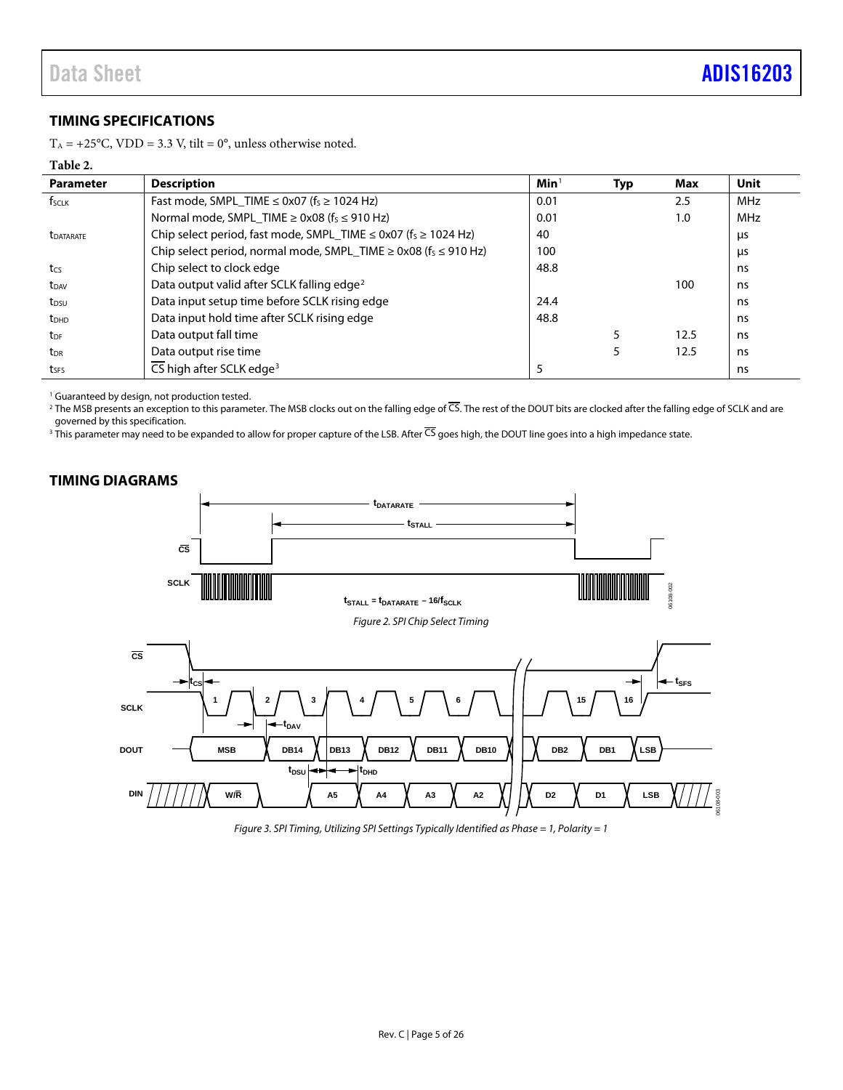### <span id="page-4-0"></span>**TIMING SPECIFICATIONS**

T<sub>A</sub> = +25°C, VDD = 3.3 V, tilt = 0°, unless otherwise noted.

#### <span id="page-4-2"></span>**Table 2.**

| <b>Parameter</b>        | <b>Description</b>                                                                   | Min <sup>1</sup> | Typ | Max  | <b>Unit</b> |
|-------------------------|--------------------------------------------------------------------------------------|------------------|-----|------|-------------|
| fscuk                   | Fast mode, SMPL TIME $\leq$ 0x07 (f <sub>S</sub> $\geq$ 1024 Hz)                     | 0.01             |     | 2.5  | <b>MHz</b>  |
|                         | Normal mode, SMPL_TIME $\geq$ 0x08 (fs $\leq$ 910 Hz)                                | 0.01             |     | 1.0  | <b>MHz</b>  |
| <b><i>LDATARATE</i></b> | Chip select period, fast mode, SMPL_TIME $\leq$ 0x07 (f <sub>s</sub> $\geq$ 1024 Hz) | 40               |     |      | μs          |
|                         | Chip select period, normal mode, SMPL_TIME $\geq$ 0x08 (fs $\leq$ 910 Hz)            | 100              |     |      | μs          |
| tcs                     | Chip select to clock edge                                                            | 48.8             |     |      | ns          |
| t <sub>DAV</sub>        | Data output valid after SCLK falling edge <sup>2</sup>                               |                  |     | 100  | ns          |
| $t_{DSU}$               | Data input setup time before SCLK rising edge                                        | 24.4             |     |      | ns          |
| <b>t</b> <sub>DHD</sub> | Data input hold time after SCLK rising edge                                          | 48.8             |     |      | ns          |
| $t_{DF}$                | Data output fall time                                                                |                  |     | 12.5 | ns          |
| t <sub>DR</sub>         | Data output rise time                                                                |                  | 5   | 12.5 | ns          |
| tses                    | CS high after SCLK edge <sup>3</sup>                                                 | 5                |     |      | ns          |

<sup>1</sup> Guaranteed by design, not production tested.

<sup>2</sup> The MSB presents an exception to this parameter. The MSB clocks out on the falling edge of  $\overline{CS}$ . The rest of the DOUT bits are clocked after the falling edge of SCLK and are governed by this specification.

 $^3$  This parameter may need to be expanded to allow for proper capture of the LSB. After CS goes high, the DOUT line goes into a high impedance state.

### <span id="page-4-3"></span><span id="page-4-1"></span>**TIMING DIAGRAMS**



<span id="page-4-4"></span>*Figure 3. SPI Timing, Utilizing SPI Settings Typically Identified as Phase = 1, Polarity = 1*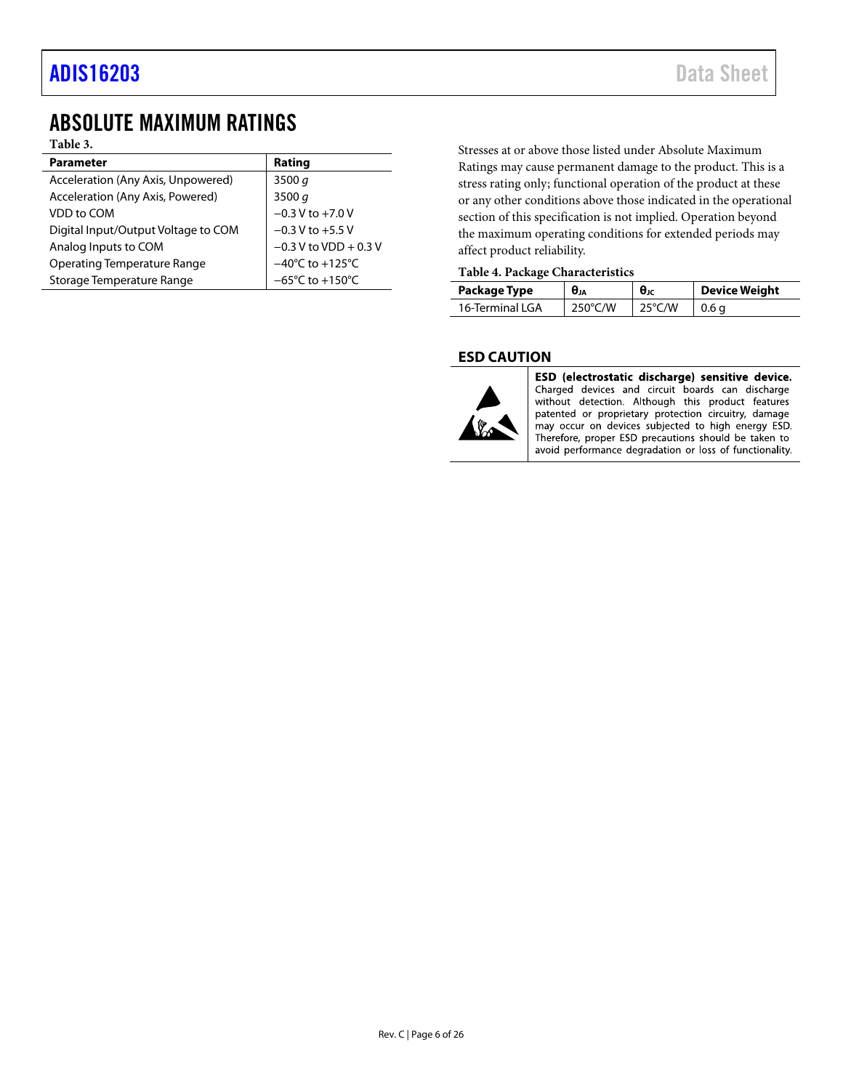# <span id="page-5-0"></span>ABSOLUTE MAXIMUM RATINGS

**Table 3.**

| <b>Parameter</b>                    | Rating                               |
|-------------------------------------|--------------------------------------|
| Acceleration (Any Axis, Unpowered)  | 3500 $q$                             |
| Acceleration (Any Axis, Powered)    | 3500 $q$                             |
| VDD to COM                          | $-0.3 V$ to $+7.0 V$                 |
| Digital Input/Output Voltage to COM | $-0.3$ V to $+5.5$ V                 |
| Analog Inputs to COM                | $-0.3$ V to VDD + 0.3 V              |
| <b>Operating Temperature Range</b>  | $-40^{\circ}$ C to $+125^{\circ}$ C  |
| Storage Temperature Range           | $-65^{\circ}$ C to +150 $^{\circ}$ C |

Stresses at or above those listed under Absolute Maximum Ratings may cause permanent damage to the product. This is a stress rating only; functional operation of the product at these or any other conditions above those indicated in the operational section of this specification is not implied. Operation beyond the maximum operating conditions for extended periods may affect product reliability.

### **Table 4. Package Characteristics**

| Package Type    | θи                | $\theta$ JC      | Device Weight |  |  |
|-----------------|-------------------|------------------|---------------|--|--|
| 16-Terminal LGA | $250^{\circ}$ C/W | $25^{\circ}$ C/W | 0.6a          |  |  |

### <span id="page-5-1"></span>**ESD CAUTION**



ESD (electrostatic discharge) sensitive device. Charged devices and circuit boards can discharge without detection. Although this product features patented or proprietary protection circuitry, damage may occur on devices subjected to high energy ESD.<br>Therefore, proper ESD precautions should be taken to avoid performance degradation or loss of functionality.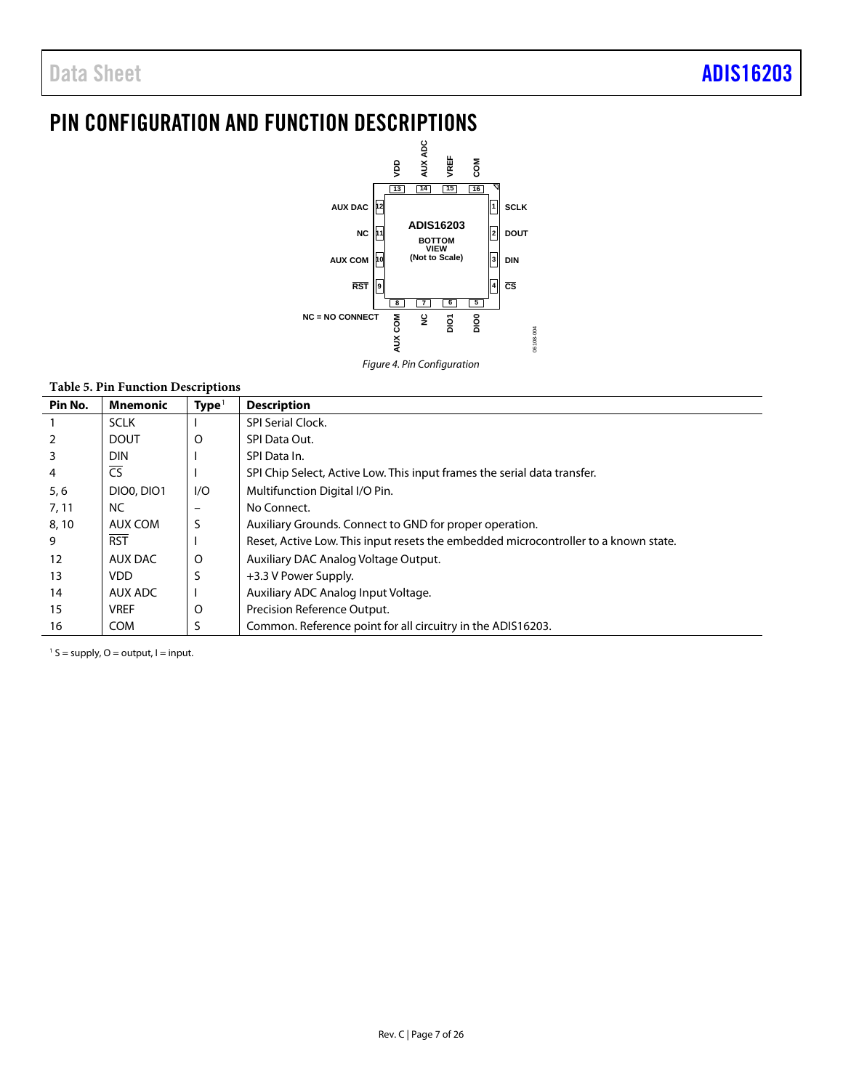# <span id="page-6-0"></span>PIN CONFIGURATION AND FUNCTION DESCRIPTIONS



### **Table 5. Pin Function Descriptions**

| Pin No.        | <b>Mnemonic</b>   | Type <sup>1</sup> | <b>Description</b>                                                                  |
|----------------|-------------------|-------------------|-------------------------------------------------------------------------------------|
| $\mathbf{1}$   | <b>SCLK</b>       |                   | <b>SPI Serial Clock.</b>                                                            |
| $\overline{2}$ | <b>DOUT</b>       | O                 | SPI Data Out.                                                                       |
| $\overline{3}$ | <b>DIN</b>        |                   | SPI Data In.                                                                        |
| 4              | <b>CS</b>         |                   | SPI Chip Select, Active Low. This input frames the serial data transfer.            |
| 5, 6           | <b>DIO0, DIO1</b> | 1/O               | Multifunction Digital I/O Pin.                                                      |
| 7, 11          | <b>NC</b>         |                   | No Connect.                                                                         |
| 8, 10          | AUX COM           | S                 | Auxiliary Grounds. Connect to GND for proper operation.                             |
| 9              | <b>RST</b>        |                   | Reset, Active Low. This input resets the embedded microcontroller to a known state. |
| 12             | AUX DAC           | O                 | Auxiliary DAC Analog Voltage Output.                                                |
| 13             | VDD.              | S                 | +3.3 V Power Supply.                                                                |
| 14             | AUX ADC           |                   | Auxiliary ADC Analog Input Voltage.                                                 |
| 15             | <b>VREF</b>       | O                 | Precision Reference Output.                                                         |
| 16             | <b>COM</b>        | S                 | Common. Reference point for all circuitry in the ADIS16203.                         |

 $1 S =$  supply, O = output, I = input.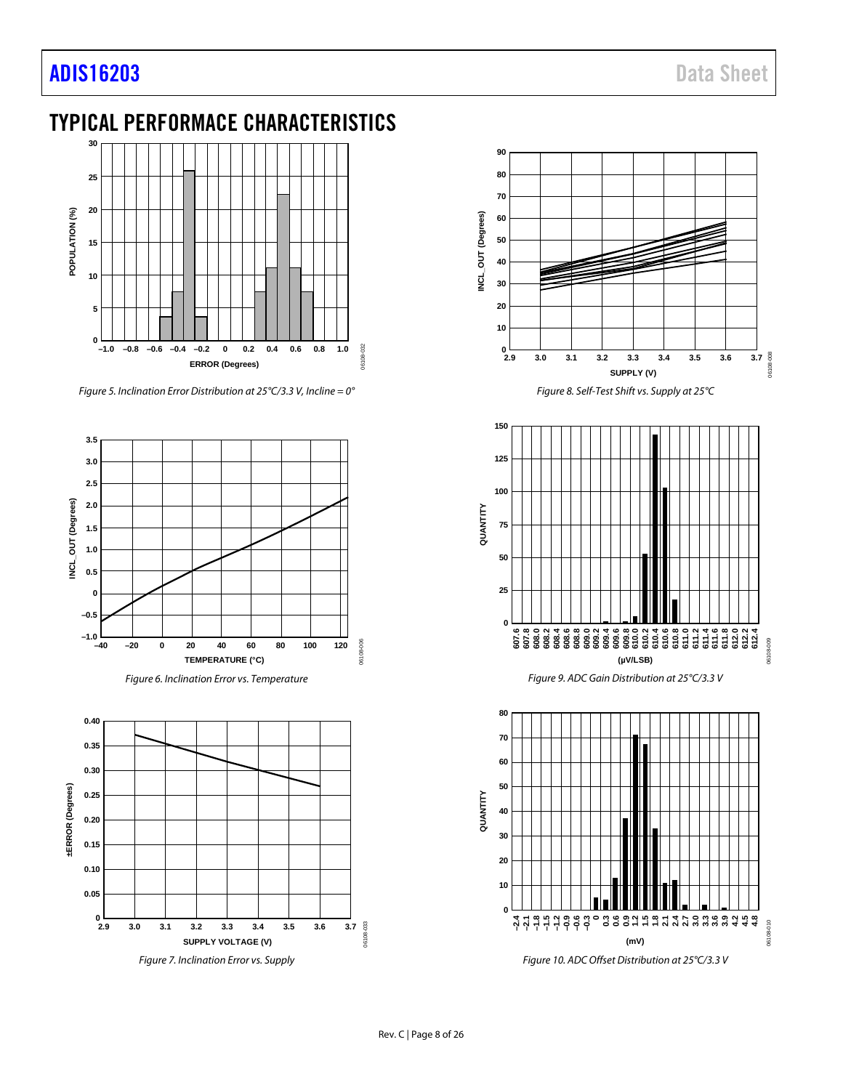# [ADIS16203](https://www.analog.com/ADIS16203?doc=ADIS16203.pdf) Data Sheet

# <span id="page-7-0"></span>TYPICAL PERFORMACE CHARACTERISTICS



*Figure 5. Inclination Error Distribution at 25°C/3.3 V, Incline = 0°*







*Figure 8. Self-Test Shift vs. Supply at 25°C*





*Figure 10. ADC Offset Distribution at 25°C/3.3 V*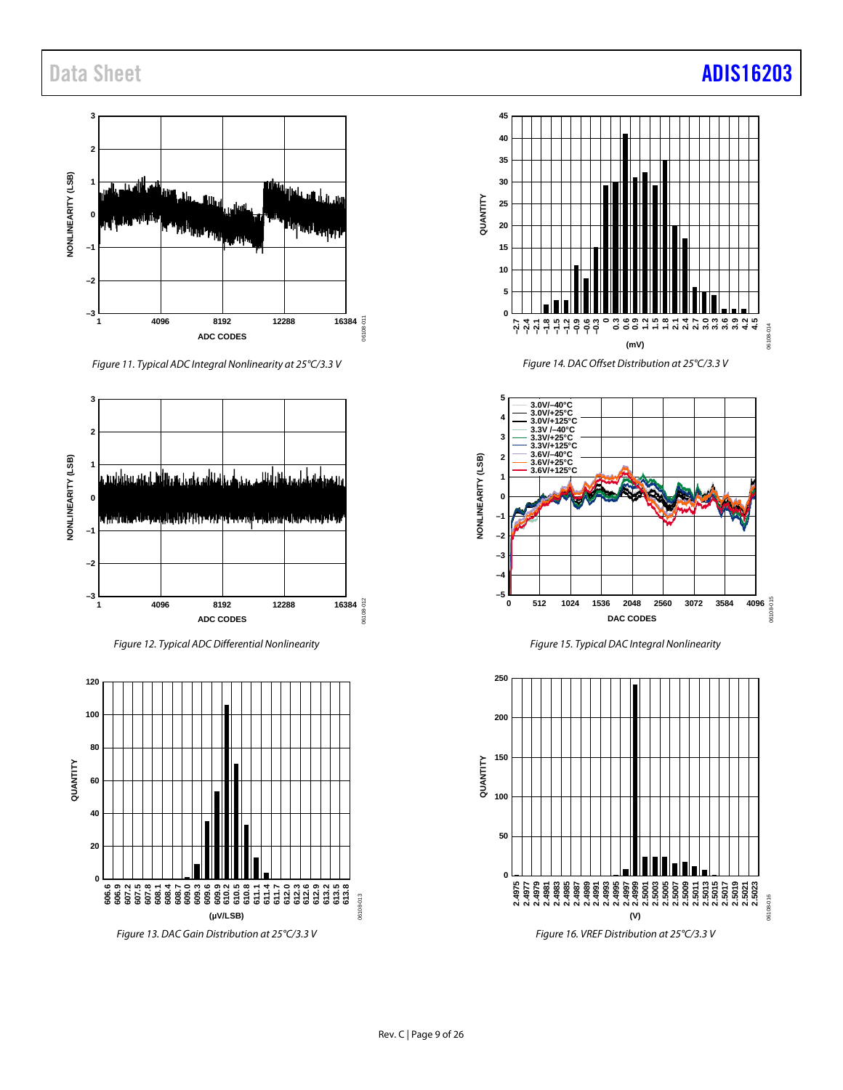# Data Sheet **[ADIS16203](https://www.analog.com/ADIS16203?doc=ADIS16203.pdf)**



*Figure 11. Typical ADC Integral Nonlinearity at 25°C/3.3 V*



*Figure 12. Typical ADC Differential Nonlinearity*



*Figure 13. DAC Gain Distribution at 25°C/3.3 V*





*Figure 15. Typical DAC Integral Nonlinearity*



*Figure 16. VREF Distribution at 25°C/3.3 V*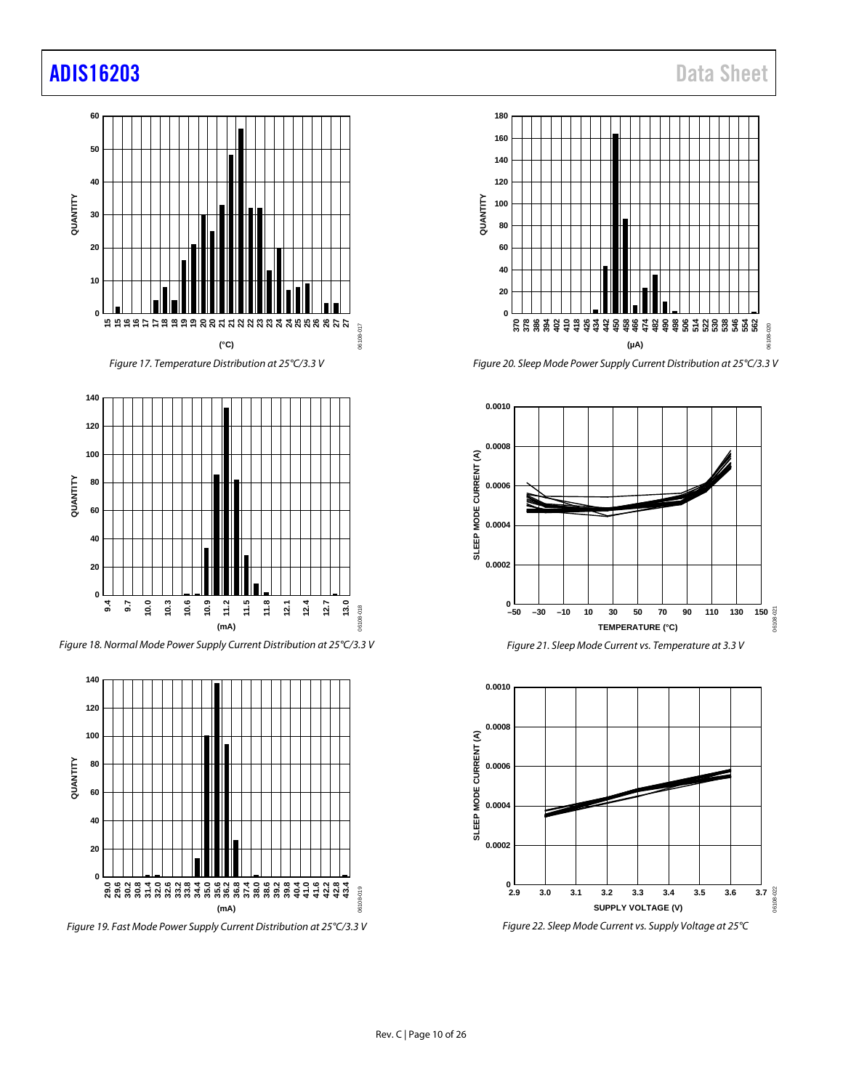# [ADIS16203](https://www.analog.com/ADIS16203?doc=ADIS16203.pdf) Data Sheet





*Figure 18. Normal Mode Power Supply Current Distribution at 25°C/3.3 V*



*Figure 19. Fast Mode Power Supply Current Distribution at 25°C/3.3 V*



*Figure 20. Sleep Mode Power Supply Current Distribution at 25°C/3.3 V*





*Figure 22. Sleep Mode Current vs. Supply Voltage at 25°C*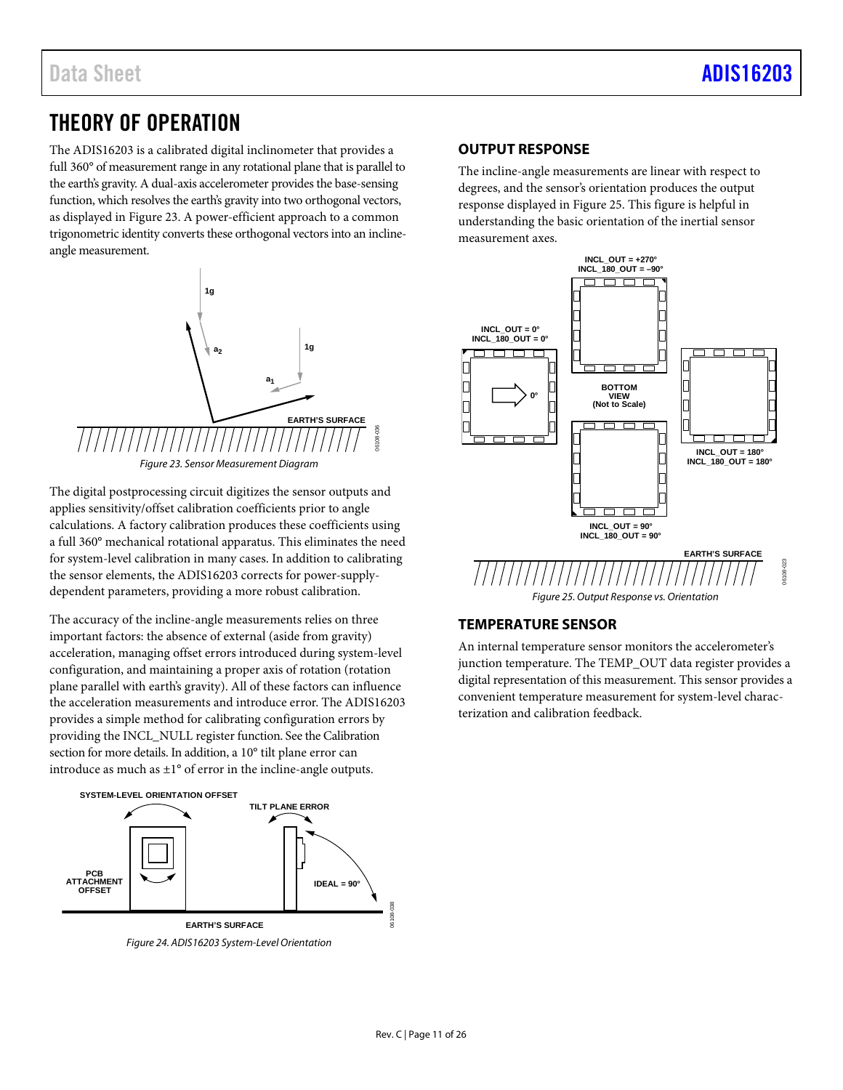# <span id="page-10-0"></span>THEORY OF OPERATION

The ADIS16203 is a calibrated digital inclinometer that provides a full 360° of measurement range in any rotational plane that is parallel to the earth's gravity. A dual-axis accelerometer provides the base-sensing function, which resolves the earth's gravity into two orthogonal vectors, as displayed in Figure 23. A power-efficient approach to a common trigonometric identity converts these orthogonal vectors into an inclineangle measurement.



The digital postprocessing circuit digitizes the sensor outputs and applies sensitivity/offset calibration coefficients prior to angle calculations. A factory calibration produces these coefficients using a full 360° mechanical rotational apparatus. This eliminates the need for system-level calibration in many cases. In addition to calibrating the sensor elements, the ADIS16203 corrects for power-supplydependent parameters, providing a more robust calibration.

The accuracy of the incline-angle measurements relies on three important factors: the absence of external (aside from gravity) acceleration, managing offset errors introduced during system-level configuration, and maintaining a proper axis of rotation (rotation plane parallel with earth's gravity). All of these factors can influence the acceleration measurements and introduce error. The ADIS16203 provides a simple method for calibrating configuration errors by providing the INCL\_NULL register function. See th[e Calibration](#page-14-1) section for more details. In addition, a 10° tilt plane error can introduce as much as  $\pm 1^{\circ}$  of error in the incline-angle outputs.



### <span id="page-10-1"></span>**OUTPUT RESPONSE**

The incline-angle measurements are linear with respect to degrees, and the sensor's orientation produces the output response displayed in Figure 25. This figure is helpful in understanding the basic orientation of the inertial sensor measurement axes.



### <span id="page-10-2"></span>**TEMPERATURE SENSOR**

An internal temperature sensor monitors the accelerometer's junction temperature. The TEMP\_OUT data register provides a digital representation of this measurement. This sensor provides a convenient temperature measurement for system-level characterization and calibration feedback.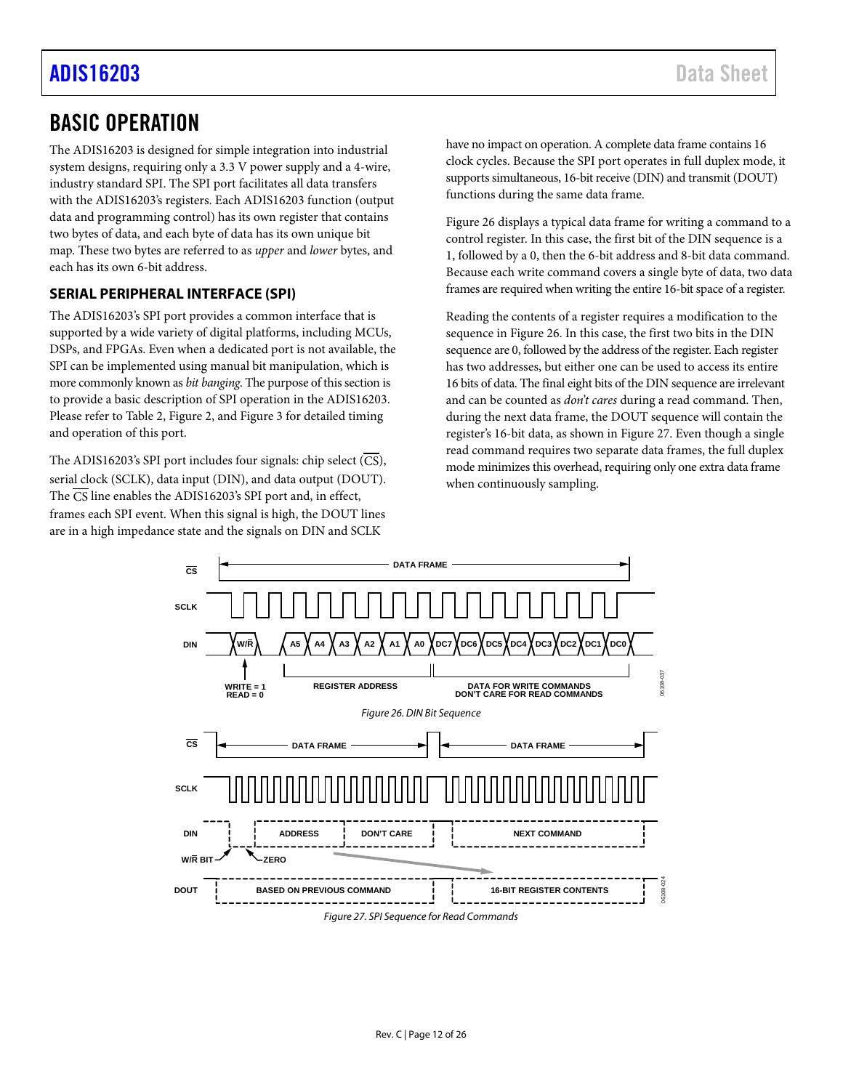# [ADIS16203](https://www.analog.com/ADIS16203?doc=ADIS16203.pdf) Data Sheet

# <span id="page-11-0"></span>BASIC OPERATION

The ADIS16203 is designed for simple integration into industrial system designs, requiring only a 3.3 V power supply and a 4-wire, industry standard SPI. The SPI port facilitates all data transfers with the ADIS16203's registers. Each ADIS16203 function (output data and programming control) has its own register that contains two bytes of data, and each byte of data has its own unique bit map. These two bytes are referred to as *upper* and *lower* bytes, and each has its own 6-bit address.

### <span id="page-11-1"></span>**SERIAL PERIPHERAL INTERFACE (SPI)**

The ADIS16203's SPI port provides a common interface that is supported by a wide variety of digital platforms, including MCUs, DSPs, and FPGAs. Even when a dedicated port is not available, the SPI can be implemented using manual bit manipulation, which is more commonly known as *bit banging*. The purpose of this section is to provide a basic description of SPI operation in the ADIS16203. Please refer to [Table 2,](#page-4-2) [Figure 2,](#page-4-3) an[d Figure 3](#page-4-4) for detailed timing and operation of this port.

The ADIS16203's SPI port includes four signals: chip select  $(\overline{CS})$ , serial clock (SCLK), data input (DIN), and data output (DOUT). The  $\overline{CS}$  line enables the ADIS16203's SPI port and, in effect, frames each SPI event. When this signal is high, the DOUT lines are in a high impedance state and the signals on DIN and SCLK

have no impact on operation. A complete data frame contains 16 clock cycles. Because the SPI port operates in full duplex mode, it supports simultaneous, 16-bit receive (DIN) and transmit (DOUT) functions during the same data frame.

[Figure 26](#page-11-2) displays a typical data frame for writing a command to a control register. In this case, the first bit of the DIN sequence is a 1, followed by a 0, then the 6-bit address and 8-bit data command. Because each write command covers a single byte of data, two data frames are required when writing the entire 16-bit space of a register.

Reading the contents of a register requires a modification to the sequence i[n Figure 26.](#page-11-2) In this case, the first two bits in the DIN sequence are 0, followed by the address of the register. Each register has two addresses, but either one can be used to access its entire 16 bits of data. The final eight bits of the DIN sequence are irrelevant and can be counted as *don't cares* during a read command. Then, during the next data frame, the DOUT sequence will contain the register's 16-bit data, as shown in [Figure 27.](#page-11-3) Even though a single read command requires two separate data frames, the full duplex mode minimizes this overhead, requiring only one extra data frame when continuously sampling.

<span id="page-11-3"></span><span id="page-11-2"></span>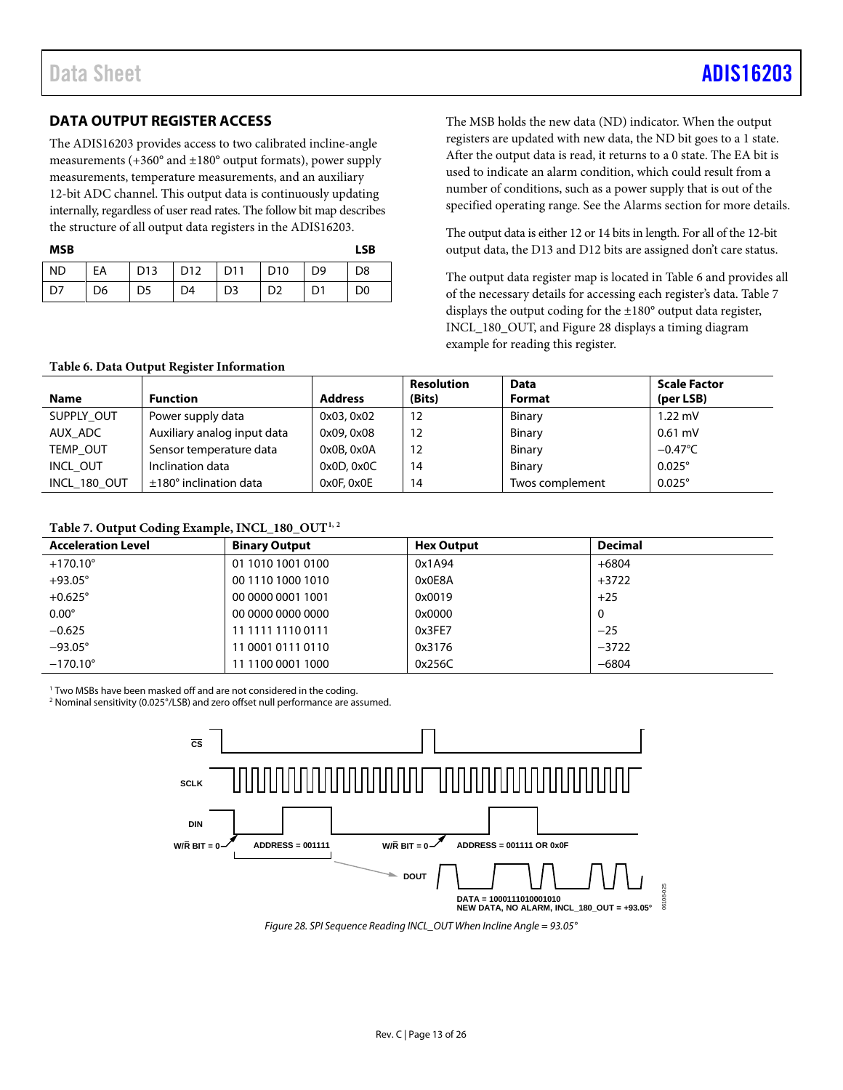# Data Sheet Andrew Sheet Albert Administrative Communication of the [ADIS16203](https://www.analog.com/ADIS16203?doc=ADIS16203.pdf)

# <span id="page-12-0"></span>**DATA OUTPUT REGISTER ACCESS**

The ADIS16203 provides access to two calibrated incline-angle measurements (+360° and ±180° output formats), power supply measurements, temperature measurements, and an auxiliary 12-bit ADC channel. This output data is continuously updating internally, regardless of user read rates. The follow bit map describes the structure of all output data registers in the ADIS16203.

| <b>MSB</b> |    |                |                 |                |                         |                | <b>LSB</b>     |
|------------|----|----------------|-----------------|----------------|-------------------------|----------------|----------------|
| ND         | EA |                | D13   D12   D11 |                | $\vert$ D <sub>10</sub> | D <sub>9</sub> | D <sub>8</sub> |
| D7         | D6 | D <sub>5</sub> | D <sub>4</sub>  | D <sub>3</sub> | D <sub>2</sub>          | D1             | D <sub>0</sub> |

The MSB holds the new data (ND) indicator. When the output registers are updated with new data, the ND bit goes to a 1 state. After the output data is read, it returns to a 0 state. The EA bit is used to indicate an alarm condition, which could result from a number of conditions, such as a power supply that is out of the specified operating range. See the [Alarms](#page-14-3) section for more details.

The output data is either 12 or 14 bits in length. For all of the 12-bit output data, the D13 and D12 bits are assigned don't care status.

The output data register map is located i[n Table 6](#page-12-1) and provides all of the necessary details for accessing each register's data. [Table 7](#page-12-2) displays the output coding for the ±180° output data register, INCL\_180\_OUT, an[d Figure 28](#page-12-3) displays a timing diagram example for reading this register.

#### <span id="page-12-1"></span>**Table 6. Data Output Register Information**

| <b>Name</b>  | <b>Function</b>               | <b>Address</b> | Resolution<br>(Bits) | <b>Data</b><br><b>Format</b> | <b>Scale Factor</b><br>(per LSB) |
|--------------|-------------------------------|----------------|----------------------|------------------------------|----------------------------------|
| SUPPLY OUT   | Power supply data             | 0x03, 0x02     | 12                   | Binary                       | $1.22$ mV                        |
| AUX ADC      | Auxiliary analog input data   | 0x09, 0x08     | 12                   | Binary                       | $0.61$ mV                        |
| TEMP OUT     | Sensor temperature data       | 0x0B, 0x0A     | 12                   | Binary                       | $-0.47^{\circ}$ C                |
| INCL OUT     | Inclination data              | 0x0D, 0x0C     | 14                   | Binary                       | $0.025^\circ$                    |
| INCL 180 OUT | $±180^\circ$ inclination data | 0x0F, 0x0E     | 14                   | Twos complement              | $0.025^\circ$                    |

### <span id="page-12-2"></span>Table 7. Output Coding Example, INCL\_180\_OUT<sup>1, 2</sup>

| <b>Acceleration Level</b> | <b>Binary Output</b> | <b>Hex Output</b> | <b>Decimal</b> |
|---------------------------|----------------------|-------------------|----------------|
| $+170.10^{\circ}$         | 01 1010 1001 0100    | 0x1A94            | $+6804$        |
| $+93.05^\circ$            | 00 1110 1000 1010    | 0x0E8A            | $+3722$        |
| $+0.625^\circ$            | 00 0000 0001 1001    | 0x0019            | $+25$          |
| $0.00^\circ$              | 00 0000 0000 0000    | 0x0000            | 0              |
| $-0.625$                  | 11 1111 1110 0111    | 0x3FE7            | $-25$          |
| $-93.05^{\circ}$          | 11 0001 0111 0110    | 0x3176            | $-3722$        |
| $-170.10^{\circ}$         | 11 1100 0001 1000    | 0x256C            | $-6804$        |

<sup>1</sup> Two MSBs have been masked off and are not considered in the coding.

<sup>2</sup> Nominal sensitivity (0.025°/LSB) and zero offset null performance are assumed.



<span id="page-12-3"></span>*Figure 28. SPI Sequence Reading INCL\_OUT When Incline Angle = 93.05°*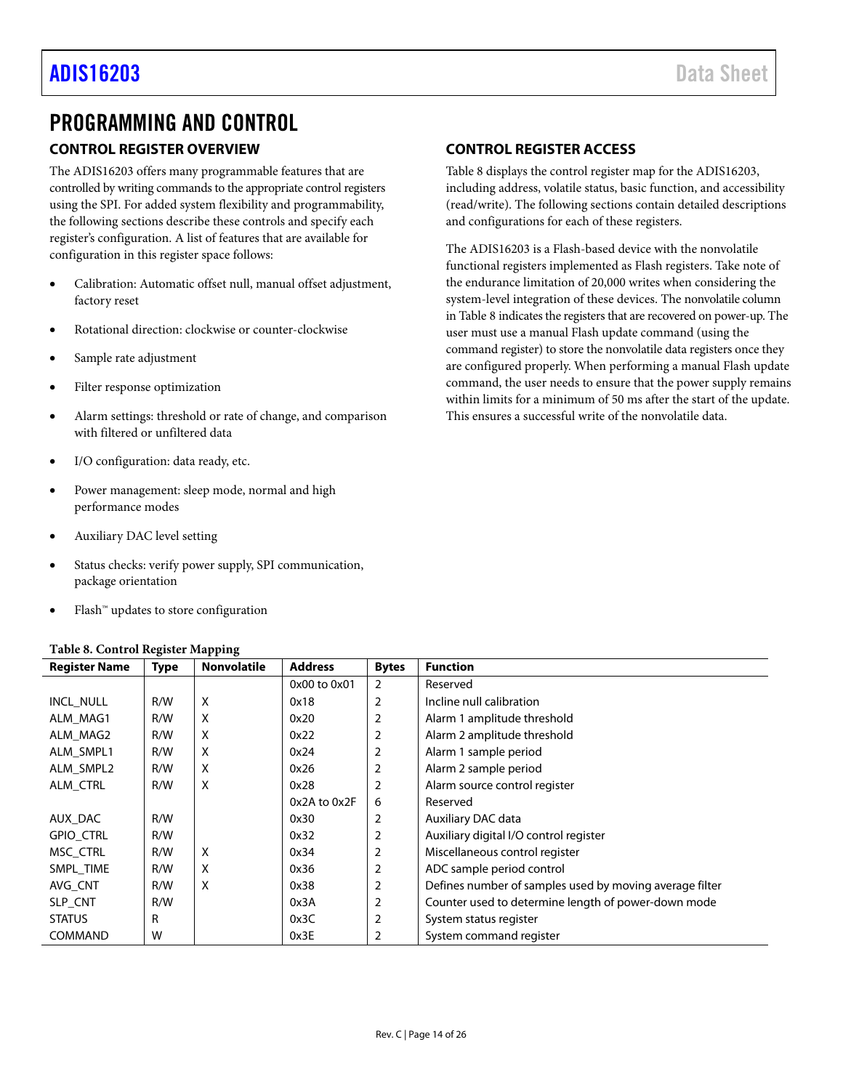# <span id="page-13-0"></span>PROGRAMMING AND CONTROL

## <span id="page-13-1"></span>**CONTROL REGISTER OVERVIEW**

The ADIS16203 offers many programmable features that are controlled by writing commands to the appropriate control registers using the SPI. For added system flexibility and programmability, the following sections describe these controls and specify each register's configuration. A list of features that are available for configuration in this register space follows:

- Calibration: Automatic offset null, manual offset adjustment, factory reset
- Rotational direction: clockwise or counter-clockwise
- Sample rate adjustment
- Filter response optimization
- Alarm settings: threshold or rate of change, and comparison with filtered or unfiltered data
- I/O configuration: data ready, etc.
- Power management: sleep mode, normal and high performance modes
- Auxiliary DAC level setting
- Status checks: verify power supply, SPI communication, package orientation
- Flash™ updates to store configuration

### <span id="page-13-3"></span>**Table 8. Control Register Mapping**

### <span id="page-13-2"></span>**CONTROL REGISTER ACCESS**

[Table 8](#page-13-3) displays the control register map for the ADIS16203, including address, volatile status, basic function, and accessibility (read/write). The following sections contain detailed descriptions and configurations for each of these registers.

The ADIS16203 is a Flash-based device with the nonvolatile functional registers implemented as Flash registers. Take note of the endurance limitation of 20,000 writes when considering the system-level integration of these devices. The nonvolatile column in [Table 8 i](#page-13-3)ndicates the registers that are recovered on power-up. The user must use a manual Flash update command (using the command register) to store the nonvolatile data registers once they are configured properly. When performing a manual Flash update command, the user needs to ensure that the power supply remains within limits for a minimum of 50 ms after the start of the update. This ensures a successful write of the nonvolatile data.

|                      | $\frac{1}{2}$<br>-rr--a |                    |                |                |                                                         |  |  |
|----------------------|-------------------------|--------------------|----------------|----------------|---------------------------------------------------------|--|--|
| <b>Register Name</b> | <b>Type</b>             | <b>Nonvolatile</b> | <b>Address</b> | <b>Bytes</b>   | <b>Function</b>                                         |  |  |
|                      |                         |                    | 0x00 to 0x01   | 2              | Reserved                                                |  |  |
| INCL_NULL            | R/W                     | X                  | 0x18           | $\overline{2}$ | Incline null calibration                                |  |  |
| ALM MAG1             | R/W                     | X                  | 0x20           | $\overline{2}$ | Alarm 1 amplitude threshold                             |  |  |
| ALM MAG2             | R/W                     | X                  | 0x22           | 2              | Alarm 2 amplitude threshold                             |  |  |
| ALM SMPL1            | R/W                     | X                  | 0x24           | 2              | Alarm 1 sample period                                   |  |  |
| ALM SMPL2            | R/W                     | X                  | 0x26           | 2              | Alarm 2 sample period                                   |  |  |
| ALM CTRL             | R/W                     | X                  | 0x28           | 2              | Alarm source control register                           |  |  |
|                      |                         |                    | 0x2A to 0x2F   | 6              | Reserved                                                |  |  |
| AUX_DAC              | R/W                     |                    | 0x30           | $\overline{2}$ | Auxiliary DAC data                                      |  |  |
| <b>GPIO_CTRL</b>     | R/W                     |                    | 0x32           | 2              | Auxiliary digital I/O control register                  |  |  |
| MSC_CTRL             | R/W                     | X                  | 0x34           | $\overline{2}$ | Miscellaneous control register                          |  |  |
| SMPL TIME            | R/W                     | X                  | 0x36           | $\overline{2}$ | ADC sample period control                               |  |  |
| AVG CNT              | R/W                     | X                  | 0x38           | 2              | Defines number of samples used by moving average filter |  |  |
| SLP_CNT              | R/W                     |                    | 0x3A           | $\overline{2}$ | Counter used to determine length of power-down mode     |  |  |
| <b>STATUS</b>        | R                       |                    | 0x3C           | $\overline{2}$ | System status register                                  |  |  |
| <b>COMMAND</b>       | W                       |                    | 0x3E           | 2              | System command register                                 |  |  |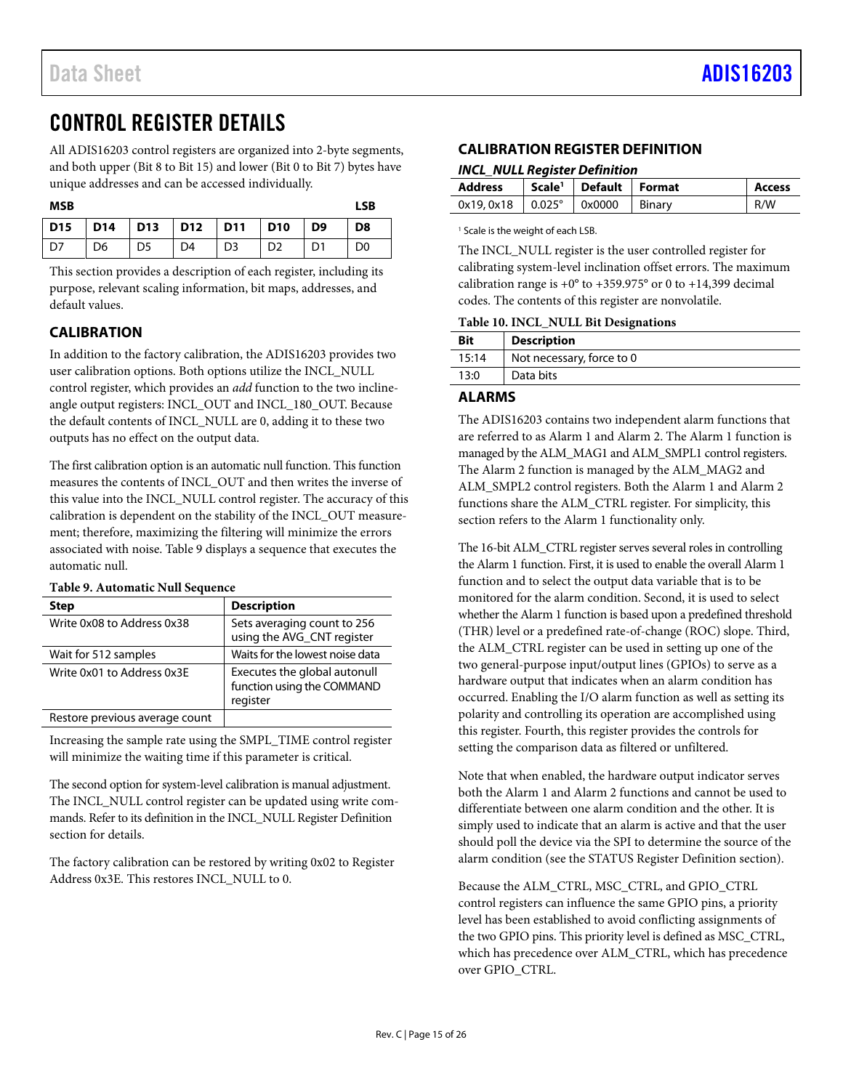# <span id="page-14-0"></span>CONTROL REGISTER DETAILS

All ADIS16203 control registers are organized into 2-byte segments, and both upper (Bit 8 to Bit 15) and lower (Bit 0 to Bit 7) bytes have unique addresses and can be accessed individually.

| <b>MSB</b> |                                   |                |                |                |                |                | <b>LSB</b>     |
|------------|-----------------------------------|----------------|----------------|----------------|----------------|----------------|----------------|
|            | D15   D14   D13   D12   D11   D10 |                |                |                |                | D <sub>9</sub> | D <sub>8</sub> |
| D7         | D <sub>6</sub>                    | D <sub>5</sub> | D <sub>4</sub> | D <sub>3</sub> | D <sub>2</sub> | D <sub>1</sub> | D <sub>0</sub> |

This section provides a description of each register, including its purpose, relevant scaling information, bit maps, addresses, and default values.

### <span id="page-14-1"></span>**CALIBRATION**

In addition to the factory calibration, the ADIS16203 provides two user calibration options. Both options utilize the INCL\_NULL control register, which provides an *add* function to the two inclineangle output registers: INCL\_OUT and INCL\_180\_OUT. Because the default contents of INCL\_NULL are 0, adding it to these two outputs has no effect on the output data.

The first calibration option is an automatic null function. This function measures the contents of INCL\_OUT and then writes the inverse of this value into the INCL\_NULL control register. The accuracy of this calibration is dependent on the stability of the INCL\_OUT measurement; therefore, maximizing the filtering will minimize the errors associated with noise. [Table 9](#page-14-4) displays a sequence that executes the automatic null.

### <span id="page-14-4"></span>**Table 9. Automatic Null Sequence**

| <b>Step</b>                    | <b>Description</b>                                                     |
|--------------------------------|------------------------------------------------------------------------|
| Write 0x08 to Address 0x38     | Sets averaging count to 256<br>using the AVG_CNT register              |
| Wait for 512 samples           | Waits for the lowest noise data                                        |
| Write 0x01 to Address 0x3E     | Executes the global autonull<br>function using the COMMAND<br>register |
| Restore previous average count |                                                                        |

Increasing the sample rate using the SMPL\_TIME control register will minimize the waiting time if this parameter is critical.

The second option for system-level calibration is manual adjustment. The INCL\_NULL control register can be updated using write commands. Refer to its definition in the INCL\_NULL [Register Definition](#page-14-5) section for details.

The factory calibration can be restored by writing 0x02 to Register Address 0x3E. This restores INCL\_NULL to 0.

### <span id="page-14-2"></span>**CALIBRATION REGISTER DEFINITION**

#### <span id="page-14-5"></span>*INCL\_NULL Register Definition*

| <b>Address</b> |               | Scale <sup>1</sup>   Default   Format |        | <b>Access</b> |
|----------------|---------------|---------------------------------------|--------|---------------|
| 0x19.0x18      | $0.025^\circ$ | $\sim$ 0x0000                         | Binarv | R/W           |

<sup>1</sup> Scale is the weight of each LSB.

The INCL\_NULL register is the user controlled register for calibrating system-level inclination offset errors. The maximum calibration range is  $+0^{\circ}$  to  $+359.975^{\circ}$  or 0 to  $+14,399$  decimal codes. The contents of this register are nonvolatile.

#### **Table 10. INCL\_NULL Bit Designations**

| <b>Bit</b> | <b>Description</b>        |
|------------|---------------------------|
| 15:14      | Not necessary, force to 0 |
| 13:0       | Data bits                 |

### <span id="page-14-3"></span>**ALARMS**

The ADIS16203 contains two independent alarm functions that are referred to as Alarm 1 and Alarm 2. The Alarm 1 function is managed by the ALM\_MAG1 and ALM\_SMPL1 control registers. The Alarm 2 function is managed by the ALM\_MAG2 and ALM\_SMPL2 control registers. Both the Alarm 1 and Alarm 2 functions share the ALM\_CTRL register. For simplicity, this section refers to the Alarm 1 functionality only.

The 16-bit ALM\_CTRL register serves several roles in controlling the Alarm 1 function. First, it is used to enable the overall Alarm 1 function and to select the output data variable that is to be monitored for the alarm condition. Second, it is used to select whether the Alarm 1 function is based upon a predefined threshold (THR) level or a predefined rate-of-change (ROC) slope. Third, the ALM\_CTRL register can be used in setting up one of the two general-purpose input/output lines (GPIOs) to serve as a hardware output that indicates when an alarm condition has occurred. Enabling the I/O alarm function as well as setting its polarity and controlling its operation are accomplished using this register. Fourth, this register provides the controls for setting the comparison data as filtered or unfiltered.

Note that when enabled, the hardware output indicator serves both the Alarm 1 and Alarm 2 functions and cannot be used to differentiate between one alarm condition and the other. It is simply used to indicate that an alarm is active and that the user should poll the device via the SPI to determine the source of the alarm condition (see the STATUS [Register Definition](#page-19-2) section).

Because the ALM\_CTRL, MSC\_CTRL, and GPIO\_CTRL control registers can influence the same GPIO pins, a priority level has been established to avoid conflicting assignments of the two GPIO pins. This priority level is defined as MSC\_CTRL, which has precedence over ALM\_CTRL, which has precedence over GPIO\_CTRL.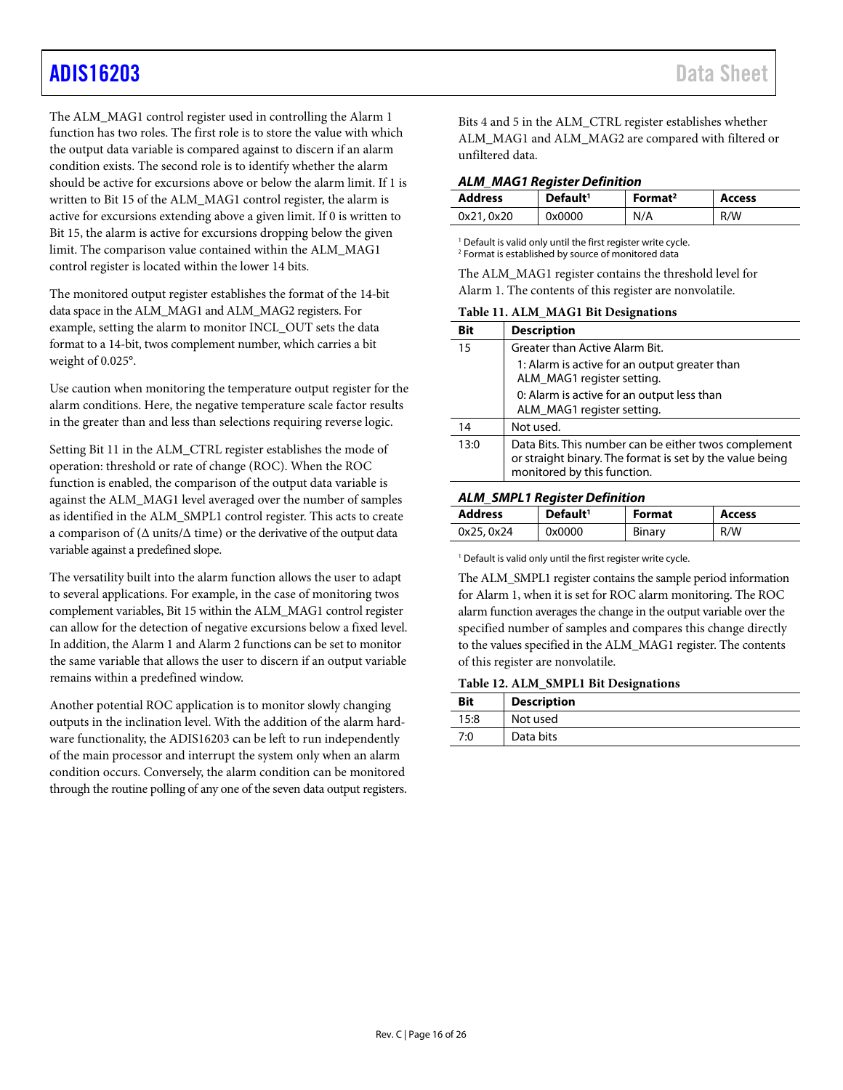# [ADIS16203](https://www.analog.com/ADIS16203?doc=ADIS16203.pdf) Data Sheet

The ALM\_MAG1 control register used in controlling the Alarm 1 function has two roles. The first role is to store the value with which the output data variable is compared against to discern if an alarm condition exists. The second role is to identify whether the alarm should be active for excursions above or below the alarm limit. If 1 is written to Bit 15 of the ALM\_MAG1 control register, the alarm is active for excursions extending above a given limit. If 0 is written to Bit 15, the alarm is active for excursions dropping below the given limit. The comparison value contained within the ALM\_MAG1 control register is located within the lower 14 bits.

The monitored output register establishes the format of the 14-bit data space in the ALM\_MAG1 and ALM\_MAG2 registers. For example, setting the alarm to monitor INCL\_OUT sets the data format to a 14-bit, twos complement number, which carries a bit weight of 0.025°.

Use caution when monitoring the temperature output register for the alarm conditions. Here, the negative temperature scale factor results in the greater than and less than selections requiring reverse logic.

Setting Bit 11 in the ALM\_CTRL register establishes the mode of operation: threshold or rate of change (ROC). When the ROC function is enabled, the comparison of the output data variable is against the ALM\_MAG1 level averaged over the number of samples as identified in the ALM\_SMPL1 control register. This acts to create a comparison of ( $\Delta$  units/ $\Delta$  time) or the derivative of the output data variable against a predefined slope.

The versatility built into the alarm function allows the user to adapt to several applications. For example, in the case of monitoring twos complement variables, Bit 15 within the ALM\_MAG1 control register can allow for the detection of negative excursions below a fixed level. In addition, the Alarm 1 and Alarm 2 functions can be set to monitor the same variable that allows the user to discern if an output variable remains within a predefined window.

Another potential ROC application is to monitor slowly changing outputs in the inclination level. With the addition of the alarm hardware functionality, the ADIS16203 can be left to run independently of the main processor and interrupt the system only when an alarm condition occurs. Conversely, the alarm condition can be monitored through the routine polling of any one of the seven data output registers. Bits 4 and 5 in the ALM\_CTRL register establishes whether ALM\_MAG1 and ALM\_MAG2 are compared with filtered or unfiltered data.

#### *ALM\_MAG1 Register Definition*

| <b>Address</b> | Default <sup>1</sup> | Format <sup>2</sup> | <b>Access</b> |
|----------------|----------------------|---------------------|---------------|
| 0x21, 0x20     | 0x0000               | N/A                 | R/W           |

<sup>1</sup> Default is valid only until the first register write cycle. <sup>2</sup> Format is established by source of monitored data

The ALM\_MAG1 register contains the threshold level for Alarm 1. The contents of this register are nonvolatile.

|      | Table 11. ALM MAGI DR Designations                                                                                                              |  |  |  |  |
|------|-------------------------------------------------------------------------------------------------------------------------------------------------|--|--|--|--|
| Bit  | <b>Description</b>                                                                                                                              |  |  |  |  |
| 15   | Greater than Active Alarm Bit.                                                                                                                  |  |  |  |  |
|      | 1: Alarm is active for an output greater than<br>ALM_MAG1 register setting.                                                                     |  |  |  |  |
|      | 0: Alarm is active for an output less than<br>ALM_MAG1 register setting.                                                                        |  |  |  |  |
|      |                                                                                                                                                 |  |  |  |  |
| 14   | Not used.                                                                                                                                       |  |  |  |  |
| 13:0 | Data Bits. This number can be either twos complement<br>or straight binary. The format is set by the value being<br>monitored by this function. |  |  |  |  |
|      |                                                                                                                                                 |  |  |  |  |

# **Table 11. ALM\_MAG1 Bit Designations**

# **Address Default1 Format Access**

0x25, 0x24 0x0000 Binary R/W

<sup>1</sup> Default is valid only until the first register write cycle.

*ALM\_SMPL1 Register Definition*

The ALM\_SMPL1 register contains the sample period information for Alarm 1, when it is set for ROC alarm monitoring. The ROC alarm function averages the change in the output variable over the specified number of samples and compares this change directly to the values specified in the ALM\_MAG1 register. The contents of this register are nonvolatile.

#### **Table 12. ALM\_SMPL1 Bit Designations**

| <b>Bit</b> | <b>Description</b> |
|------------|--------------------|
| 15:8       | Not used           |
| 7:0        | Data bits          |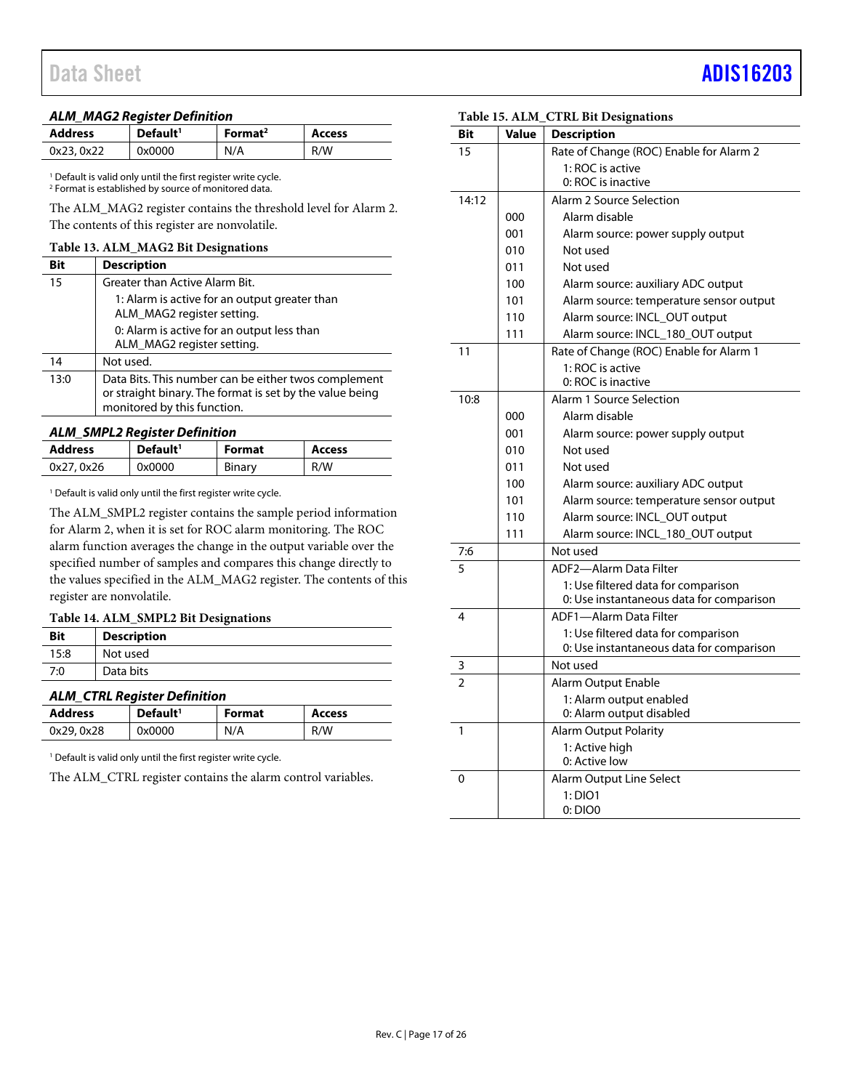# Data Sheet **[ADIS16203](https://www.analog.com/ADIS16203?doc=ADIS16203.pdf)**

#### *ALM\_MAG2 Register Definition*

| <b>Address</b> | Default <sup>1</sup> | Format <sup>2</sup> | <b>Access</b> |
|----------------|----------------------|---------------------|---------------|
| 0x23, 0x22     | 0x0000               | N/A                 | R/W           |

<sup>1</sup> Default is valid only until the first register write cycle. <sup>2</sup> Format is established by source of monitored data.

The ALM\_MAG2 register contains the threshold level for Alarm 2. The contents of this register are nonvolatile.

#### **Table 13. ALM\_MAG2 Bit Designations**

| Bit  | <b>Description</b>                                                                                                                              |
|------|-------------------------------------------------------------------------------------------------------------------------------------------------|
| 15   | Greater than Active Alarm Bit.                                                                                                                  |
|      | 1: Alarm is active for an output greater than<br>ALM MAG2 register setting.                                                                     |
|      | 0: Alarm is active for an output less than<br>ALM MAG2 register setting.                                                                        |
| 14   | Not used.                                                                                                                                       |
| 13:0 | Data Bits. This number can be either twos complement<br>or straight binary. The format is set by the value being<br>monitored by this function. |

#### *ALM\_SMPL2 Register Definition*

| <b>Address</b> | Default <sup>1</sup> | <b>Format</b> | <b>Access</b> |
|----------------|----------------------|---------------|---------------|
| 0x27, 0x26     | 0x0000               | Binary        | R/W           |

<sup>1</sup> Default is valid only until the first register write cycle.

The ALM\_SMPL2 register contains the sample period information for Alarm 2, when it is set for ROC alarm monitoring. The ROC alarm function averages the change in the output variable over the specified number of samples and compares this change directly to the values specified in the ALM\_MAG2 register. The contents of this register are nonvolatile.

#### **Table 14. ALM\_SMPL2 Bit Designations**

| <b>Bit</b> | <b>Description</b> |
|------------|--------------------|
| 15:8       | Not used           |
| 7:0        | Data bits          |

### *ALM\_CTRL Register Definition*

 $\mathbb{R}^2$ 

| <b>Address</b> | Default <sup>1</sup> | <b>Format</b> | <b>Access</b> |
|----------------|----------------------|---------------|---------------|
| 0x29, 0x28     | 0x0000               | N/A           | R/W           |

<sup>1</sup> Default is valid only until the first register write cycle.

The ALM\_CTRL register contains the alarm control variables.

| Bit            | Value | <b>Description</b>                                                              |  |  |
|----------------|-------|---------------------------------------------------------------------------------|--|--|
| 15             |       | Rate of Change (ROC) Enable for Alarm 2                                         |  |  |
|                |       | 1: ROC is active                                                                |  |  |
|                |       | 0: ROC is inactive                                                              |  |  |
| 14:12          |       | Alarm 2 Source Selection                                                        |  |  |
|                | 000   | Alarm disable                                                                   |  |  |
|                | 001   | Alarm source: power supply output                                               |  |  |
|                | 010   | Not used                                                                        |  |  |
|                | 011   | Not used                                                                        |  |  |
|                | 100   | Alarm source: auxiliary ADC output                                              |  |  |
|                | 101   | Alarm source: temperature sensor output                                         |  |  |
|                | 110   | Alarm source: INCL_OUT output                                                   |  |  |
|                | 111   | Alarm source: INCL_180_OUT output                                               |  |  |
| 11             |       | Rate of Change (ROC) Enable for Alarm 1                                         |  |  |
|                |       | 1: ROC is active                                                                |  |  |
|                |       | 0: ROC is inactive                                                              |  |  |
| 10:8           |       | Alarm 1 Source Selection                                                        |  |  |
|                | 000   | Alarm disable                                                                   |  |  |
|                | 001   | Alarm source: power supply output                                               |  |  |
|                | 010   | Not used                                                                        |  |  |
|                | 011   | Not used                                                                        |  |  |
|                | 100   | Alarm source: auxiliary ADC output                                              |  |  |
|                | 101   | Alarm source: temperature sensor output                                         |  |  |
|                | 110   | Alarm source: INCL_OUT output                                                   |  |  |
|                | 111   | Alarm source: INCL_180_OUT output                                               |  |  |
| 7:6            |       | Not used                                                                        |  |  |
| 5              |       | ADF2-Alarm Data Filter                                                          |  |  |
|                |       | 1: Use filtered data for comparison<br>0: Use instantaneous data for comparison |  |  |
| 4              |       | ADF1-Alarm Data Filter                                                          |  |  |
|                |       | 1: Use filtered data for comparison                                             |  |  |
|                |       | 0: Use instantaneous data for comparison                                        |  |  |
| 3              |       | Not used                                                                        |  |  |
| $\overline{2}$ |       | Alarm Output Enable                                                             |  |  |
|                |       | 1: Alarm output enabled                                                         |  |  |
|                |       | 0: Alarm output disabled                                                        |  |  |
| 1              |       | <b>Alarm Output Polarity</b>                                                    |  |  |
|                |       | 1: Active high                                                                  |  |  |
|                |       | 0: Active low                                                                   |  |  |
| 0              |       | <b>Alarm Output Line Select</b>                                                 |  |  |
|                |       | 1:DIO1                                                                          |  |  |
|                |       | 0:DIOO                                                                          |  |  |

**Table 15. ALM\_CTRL Bit Designations**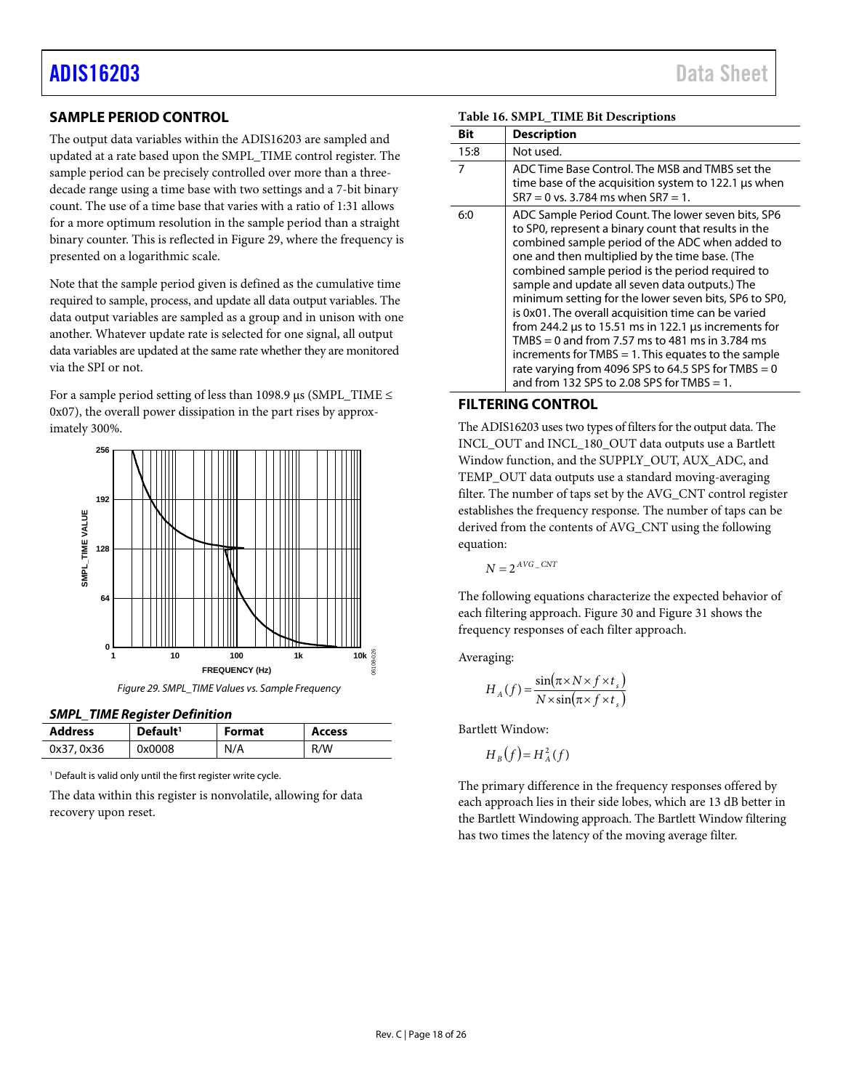### <span id="page-17-0"></span>**SAMPLE PERIOD CONTROL**

The output data variables within the ADIS16203 are sampled and updated at a rate based upon the SMPL\_TIME control register. The sample period can be precisely controlled over more than a threedecade range using a time base with two settings and a 7-bit binary count. The use of a time base that varies with a ratio of 1:31 allows for a more optimum resolution in the sample period than a straight binary counter. This is reflected in [Figure 29,](#page-17-2) where the frequency is presented on a logarithmic scale.

Note that the sample period given is defined as the cumulative time required to sample, process, and update all data output variables. The data output variables are sampled as a group and in unison with one another. Whatever update rate is selected for one signal, all output data variables are updated at the same rate whether they are monitored via the SPI or not.

For a sample period setting of less than 1098.9  $\mu$ s (SMPL\_TIME  $\leq$ 0x07), the overall power dissipation in the part rises by approximately 300%.



<span id="page-17-2"></span>*SMPL\_TIME Register Definition*

| <b>SINTL</b> TIME Register Definition |                      |        |        |
|---------------------------------------|----------------------|--------|--------|
| <b>Address</b>                        | Default <sup>1</sup> | Format | Access |
| 0x37, 0x36                            | 0x0008               | N/A    | R/W    |

<sup>1</sup> Default is valid only until the first register write cycle.

The data within this register is nonvolatile, allowing for data recovery upon reset.

|  | <b>Data Sheet</b> |  |  |  |
|--|-------------------|--|--|--|
|  |                   |  |  |  |

| Bit  | <b>Description</b>                                                                                                                                                                                                                                                                                                                                                                                                                                                                                                                                                                                                                                                                                                   |
|------|----------------------------------------------------------------------------------------------------------------------------------------------------------------------------------------------------------------------------------------------------------------------------------------------------------------------------------------------------------------------------------------------------------------------------------------------------------------------------------------------------------------------------------------------------------------------------------------------------------------------------------------------------------------------------------------------------------------------|
| 15:8 | Not used.                                                                                                                                                                                                                                                                                                                                                                                                                                                                                                                                                                                                                                                                                                            |
| 7    | ADC Time Base Control. The MSB and TMBS set the<br>time base of the acquisition system to 122.1 us when<br>$SR7 = 0$ vs. 3.784 ms when $SR7 = 1$ .                                                                                                                                                                                                                                                                                                                                                                                                                                                                                                                                                                   |
| 6:0  | ADC Sample Period Count. The lower seven bits, SP6<br>to SP0, represent a binary count that results in the<br>combined sample period of the ADC when added to<br>one and then multiplied by the time base. (The<br>combined sample period is the period required to<br>sample and update all seven data outputs.) The<br>minimum setting for the lower seven bits, SP6 to SP0,<br>is 0x01. The overall acquisition time can be varied<br>from 244.2 us to 15.51 ms in 122.1 us increments for<br>TMBS = 0 and from 7.57 ms to 481 ms in 3.784 ms<br>increments for TMBS $= 1$ . This equates to the sample<br>rate varying from 4096 SPS to 64.5 SPS for TMBS $= 0$<br>and from 132 SPS to 2.08 SPS for TMBS $= 1$ . |

#### **Table 16. SMPL\_TIME Bit Descriptions**

### <span id="page-17-1"></span>**FILTERING CONTROL**

The ADIS16203 uses two types of filters for the output data. The INCL\_OUT and INCL\_180\_OUT data outputs use a Bartlett Window function, and the SUPPLY\_OUT, AUX\_ADC, and TEMP\_OUT data outputs use a standard moving-averaging filter. The number of taps set by the AVG\_CNT control register establishes the frequency response. The number of taps can be derived from the contents of AVG\_CNT using the following equation:

 $N = 2^{AVG - CNT}$ 

The following equations characterize the expected behavior of each filtering approach. [Figure 30](#page-18-1) an[d Figure 31](#page-18-2) shows the frequency responses of each filter approach.

Averaging:

$$
H_A(f) = \frac{\sin(\pi \times N \times f \times t_s)}{N \times \sin(\pi \times f \times t_s)}
$$

Bartlett Window:

$$
H_B(f) = H_A^2(f)
$$

The primary difference in the frequency responses offered by each approach lies in their side lobes, which are 13 dB better in the Bartlett Windowing approach. The Bartlett Window filtering has two times the latency of the moving average filter.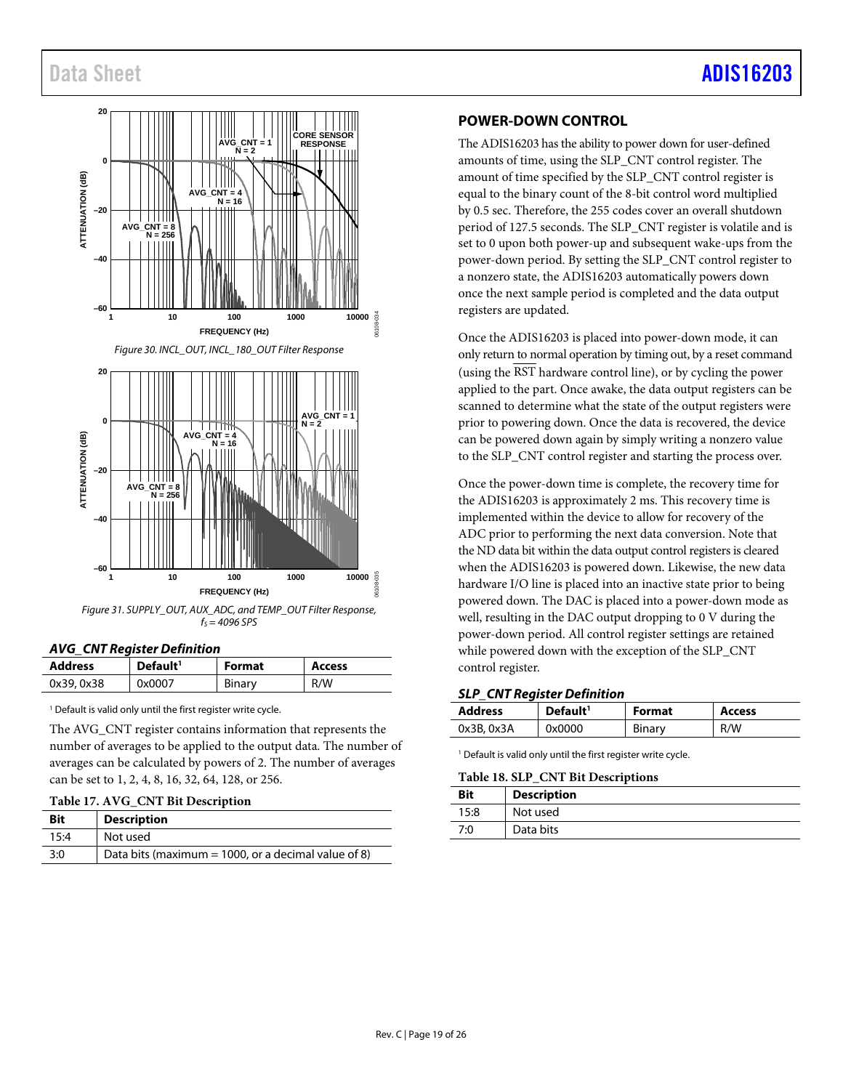# Data Sheet Andrew Sheet Albert Administrative Communication of the [ADIS16203](https://www.analog.com/ADIS16203?doc=ADIS16203.pdf)

<span id="page-18-1"></span>

<span id="page-18-2"></span>*Figure 31. SUPPLY\_OUT, AUX\_ADC, and TEMP\_OUT Filter Response, fS = 4096 SPS*

#### *AVG\_CNT Register Definition*

| <b>Address</b> | Default <sup>1</sup> | Format | <b>Access</b> |
|----------------|----------------------|--------|---------------|
| 0x39, 0x38     | 0x0007               | Binary | R/W           |

<sup>1</sup> Default is valid only until the first register write cycle.

The AVG\_CNT register contains information that represents the number of averages to be applied to the output data. The number of averages can be calculated by powers of 2. The number of averages can be set to 1, 2, 4, 8, 16, 32, 64, 128, or 256.

#### **Table 17. AVG\_CNT Bit Description**

| <b>Bit</b> | <b>Description</b>                                  |
|------------|-----------------------------------------------------|
| 15:4       | Not used                                            |
| 3:0        | Data bits (maximum = 1000, or a decimal value of 8) |

### <span id="page-18-0"></span>**POWER-DOWN CONTROL**

The ADIS16203 has the ability to power down for user-defined amounts of time, using the SLP\_CNT control register. The amount of time specified by the SLP\_CNT control register is equal to the binary count of the 8-bit control word multiplied by 0.5 sec. Therefore, the 255 codes cover an overall shutdown period of 127.5 seconds. The SLP\_CNT register is volatile and is set to 0 upon both power-up and subsequent wake-ups from the power-down period. By setting the SLP\_CNT control register to a nonzero state, the ADIS16203 automatically powers down once the next sample period is completed and the data output registers are updated.

Once the ADIS16203 is placed into power-down mode, it can only return to normal operation by timing out, by a reset command (using the RST hardware control line), or by cycling the power applied to the part. Once awake, the data output registers can be scanned to determine what the state of the output registers were prior to powering down. Once the data is recovered, the device can be powered down again by simply writing a nonzero value to the SLP\_CNT control register and starting the process over.

Once the power-down time is complete, the recovery time for the ADIS16203 is approximately 2 ms. This recovery time is implemented within the device to allow for recovery of the ADC prior to performing the next data conversion. Note that the ND data bit within the data output control registers is cleared when the ADIS16203 is powered down. Likewise, the new data hardware I/O line is placed into an inactive state prior to being powered down. The DAC is placed into a power-down mode as well, resulting in the DAC output dropping to 0 V during the power-down period. All control register settings are retained while powered down with the exception of the SLP\_CNT control register.

#### *SLP\_CNT Register Definition*

| <b>Address</b> | Default <sup>1</sup> | <b>Format</b> | <b>Access</b> |
|----------------|----------------------|---------------|---------------|
| 0x3B, 0x3A     | 0x0000               | Binary        | R/W           |

<sup>1</sup> Default is valid only until the first register write cycle.

#### **Table 18. SLP\_CNT Bit Descriptions**

| Bit  | <b>Description</b> |
|------|--------------------|
| 15:8 | Not used           |
| 7:0  | Data bits          |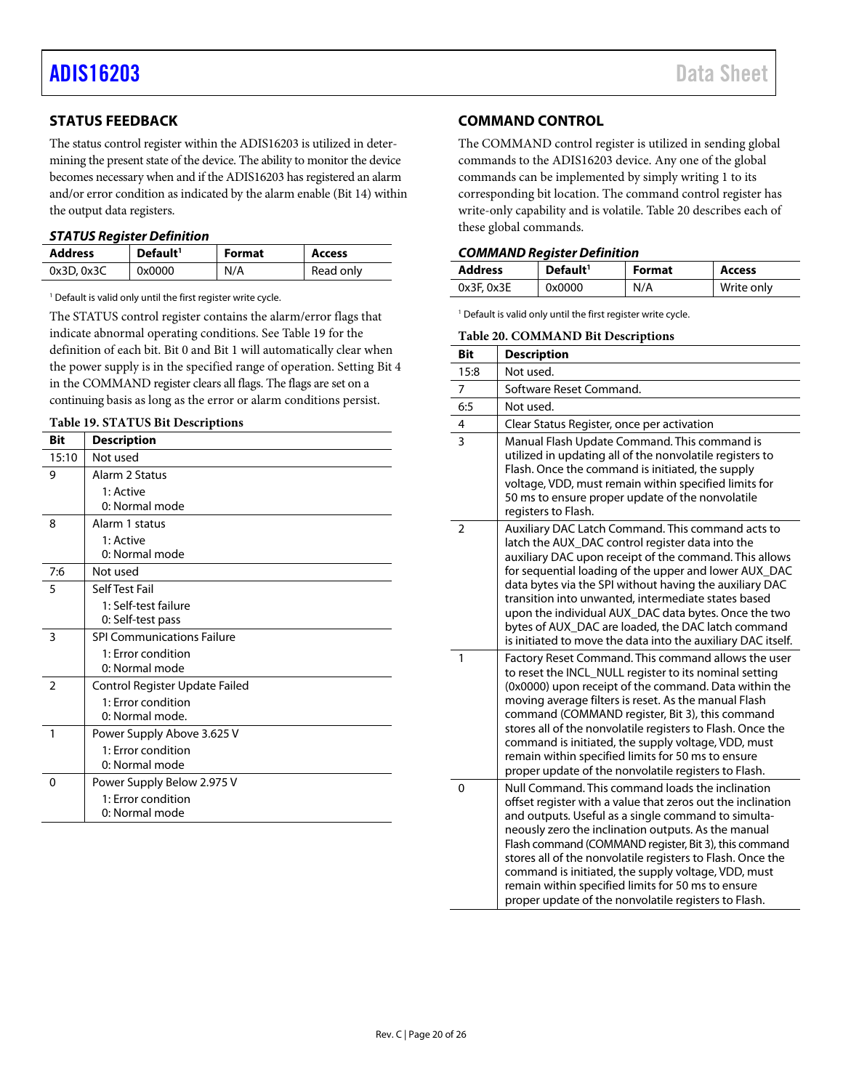### <span id="page-19-0"></span>**STATUS FEEDBACK**

The status control register within the ADIS16203 is utilized in determining the present state of the device. The ability to monitor the device becomes necessary when and if the ADIS16203 has registered an alarm and/or error condition as indicated by the alarm enable (Bit 14) within the output data registers.

#### <span id="page-19-2"></span>*STATUS Register Definition*

| <b>Address</b> | Default <sup>1</sup> | <b>Format</b> | <b>Access</b> |
|----------------|----------------------|---------------|---------------|
| 0x3D.0x3C      | 0x0000               | N/A           | Read only     |

<sup>1</sup> Default is valid only until the first register write cycle.

The STATUS control register contains the alarm/error flags that indicate abnormal operating conditions. See [Table 19](#page-19-3) for the definition of each bit. Bit 0 and Bit 1 will automatically clear when the power supply is in the specified range of operation. Setting Bit 4 in the COMMAND register clears all flags. The flags are set on a continuing basis as long as the error or alarm conditions persist.

<span id="page-19-3"></span>

| Table 19. STATUS Bit Descriptions |
|-----------------------------------|
|-----------------------------------|

| Bit            | <b>Description</b>                |
|----------------|-----------------------------------|
| 15:10          | Not used                          |
| 9              | Alarm 2 Status                    |
|                | 1: Active                         |
|                | 0: Normal mode                    |
| 8              | Alarm 1 status                    |
|                | 1: Active                         |
|                | 0: Normal mode                    |
| 7:6            | Not used                          |
| 5              | Self Test Fail                    |
|                | 1: Self-test failure              |
|                | 0: Self-test pass                 |
| 3              | <b>SPI Communications Failure</b> |
|                | 1: Error condition                |
|                | 0: Normal mode                    |
| $\overline{2}$ | Control Register Update Failed    |
|                | 1: Error condition                |
|                | 0: Normal mode.                   |
| 1              | Power Supply Above 3.625 V        |
|                | 1: Error condition                |
|                | 0: Normal mode                    |
| 0              | Power Supply Below 2.975 V        |
|                | 1: Error condition                |
|                | 0: Normal mode                    |

### <span id="page-19-1"></span>**COMMAND CONTROL**

The COMMAND control register is utilized in sending global commands to the ADIS16203 device. Any one of the global commands can be implemented by simply writing 1 to its corresponding bit location. The command control register has write-only capability and is volatile. [Table 20](#page-19-4) describes each of these global commands.

#### *COMMAND Register Definition*

| <b>Address</b>  | Default <sup>1</sup> | <b>Format</b> | Access     |
|-----------------|----------------------|---------------|------------|
| $0x3F$ , $0x3E$ | 0x0000               | N/A           | Write only |

<span id="page-19-4"></span><sup>1</sup> Default is valid only until the first register write cycle.

|                | <b>Table 20. COMMAND Bit Descriptions</b>                                                                                                                                                                                                                                                                                                                                                                                                                                                                                 |  |  |
|----------------|---------------------------------------------------------------------------------------------------------------------------------------------------------------------------------------------------------------------------------------------------------------------------------------------------------------------------------------------------------------------------------------------------------------------------------------------------------------------------------------------------------------------------|--|--|
| <b>Bit</b>     | <b>Description</b>                                                                                                                                                                                                                                                                                                                                                                                                                                                                                                        |  |  |
| 15:8           | Not used.                                                                                                                                                                                                                                                                                                                                                                                                                                                                                                                 |  |  |
| 7              | Software Reset Command.                                                                                                                                                                                                                                                                                                                                                                                                                                                                                                   |  |  |
| 6:5            | Not used.                                                                                                                                                                                                                                                                                                                                                                                                                                                                                                                 |  |  |
| 4              | Clear Status Register, once per activation                                                                                                                                                                                                                                                                                                                                                                                                                                                                                |  |  |
| $\overline{3}$ | Manual Flash Update Command. This command is<br>utilized in updating all of the nonvolatile registers to<br>Flash. Once the command is initiated, the supply<br>voltage, VDD, must remain within specified limits for<br>50 ms to ensure proper update of the nonvolatile<br>registers to Flash.                                                                                                                                                                                                                          |  |  |
| $\overline{2}$ | Auxiliary DAC Latch Command. This command acts to<br>latch the AUX_DAC control register data into the<br>auxiliary DAC upon receipt of the command. This allows<br>for sequential loading of the upper and lower AUX_DAC<br>data bytes via the SPI without having the auxiliary DAC<br>transition into unwanted, intermediate states based<br>upon the individual AUX_DAC data bytes. Once the two<br>bytes of AUX_DAC are loaded, the DAC latch command<br>is initiated to move the data into the auxiliary DAC itself.  |  |  |
| $\mathbf{1}$   | Factory Reset Command. This command allows the user<br>to reset the INCL_NULL register to its nominal setting<br>(0x0000) upon receipt of the command. Data within the<br>moving average filters is reset. As the manual Flash<br>command (COMMAND register, Bit 3), this command<br>stores all of the nonvolatile registers to Flash. Once the<br>command is initiated, the supply voltage, VDD, must<br>remain within specified limits for 50 ms to ensure<br>proper update of the nonvolatile registers to Flash.      |  |  |
| 0              | Null Command. This command loads the inclination<br>offset register with a value that zeros out the inclination<br>and outputs. Useful as a single command to simulta-<br>neously zero the inclination outputs. As the manual<br>Flash command (COMMAND register, Bit 3), this command<br>stores all of the nonvolatile registers to Flash. Once the<br>command is initiated, the supply voltage, VDD, must<br>remain within specified limits for 50 ms to ensure<br>proper update of the nonvolatile registers to Flash. |  |  |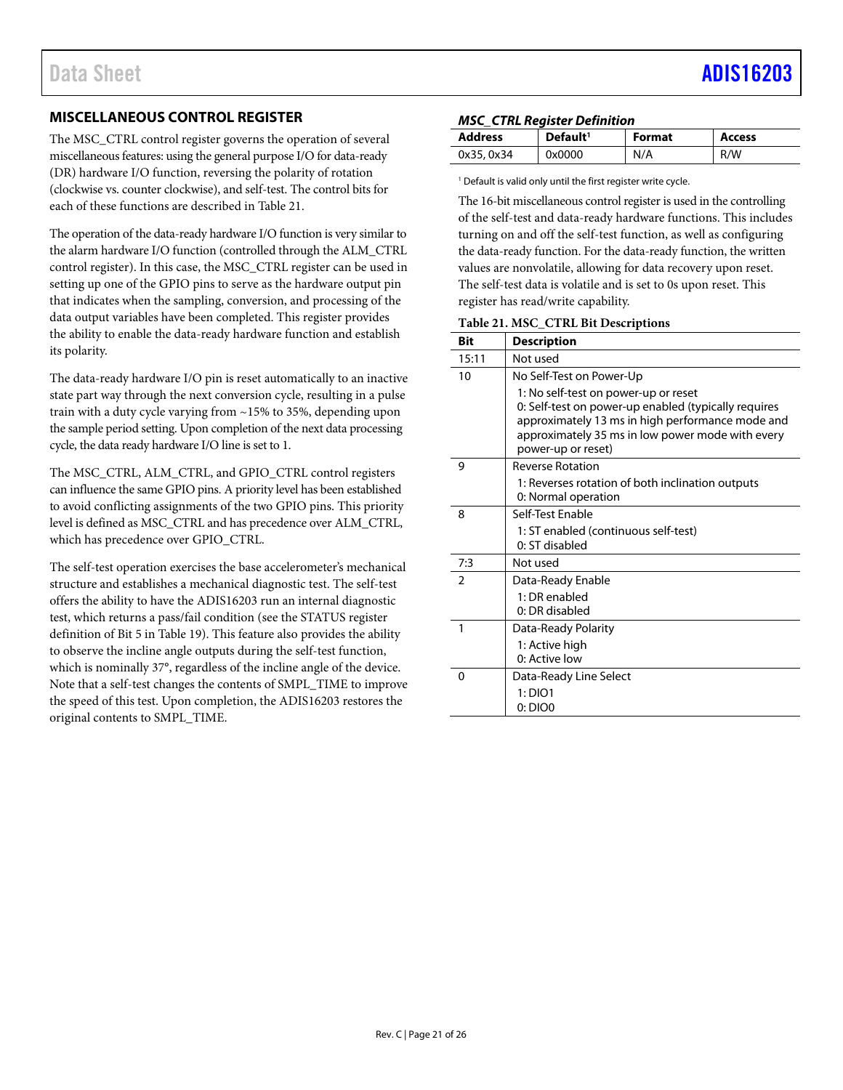### <span id="page-20-0"></span>**MISCELLANEOUS CONTROL REGISTER**

The MSC\_CTRL control register governs the operation of several miscellaneous features: using the general purpose I/O for data-ready (DR) hardware I/O function, reversing the polarity of rotation (clockwise vs. counter clockwise), and self-test. The control bits for each of these functions are described i[n Table 21.](#page-20-1)

The operation of the data-ready hardware I/O function is very similar to the alarm hardware I/O function (controlled through the ALM\_CTRL control register). In this case, the MSC\_CTRL register can be used in setting up one of the GPIO pins to serve as the hardware output pin that indicates when the sampling, conversion, and processing of the data output variables have been completed. This register provides the ability to enable the data-ready hardware function and establish its polarity.

The data-ready hardware I/O pin is reset automatically to an inactive state part way through the next conversion cycle, resulting in a pulse train with a duty cycle varying from ~15% to 35%, depending upon the sample period setting. Upon completion of the next data processing cycle, the data ready hardware I/O line is set to 1.

The MSC\_CTRL, ALM\_CTRL, and GPIO\_CTRL control registers can influence the same GPIO pins. A priority level has been established to avoid conflicting assignments of the two GPIO pins. This priority level is defined as MSC\_CTRL and has precedence over ALM\_CTRL, which has precedence over GPIO\_CTRL.

The self-test operation exercises the base accelerometer's mechanical structure and establishes a mechanical diagnostic test. The self-test offers the ability to have the ADIS16203 run an internal diagnostic test, which returns a pass/fail condition (see the STATUS register definition of Bit 5 in [Table 19\)](#page-19-3). This feature also provides the ability to observe the incline angle outputs during the self-test function, which is nominally 37°, regardless of the incline angle of the device. Note that a self-test changes the contents of SMPL\_TIME to improve the speed of this test. Upon completion, the ADIS16203 restores the original contents to SMPL\_TIME.

### *MSC\_CTRL Register Definition*

| <b>Address</b> | Default <sup>1</sup> | <b>Format</b> | <b>Access</b> |
|----------------|----------------------|---------------|---------------|
| 0x35, 0x34     | 0x0000               | N/A           | R/W           |

<sup>1</sup> Default is valid only until the first register write cycle.

The 16-bit miscellaneous control register is used in the controlling of the self-test and data-ready hardware functions. This includes turning on and off the self-test function, as well as configuring the data-ready function. For the data-ready function, the written values are nonvolatile, allowing for data recovery upon reset. The self-test data is volatile and is set to 0s upon reset. This register has read/write capability.

<span id="page-20-1"></span>**Table 21. MSC\_CTRL Bit Descriptions**

| <b>Bit</b> | <b>Description</b>                                                                                                                                                                                                         |
|------------|----------------------------------------------------------------------------------------------------------------------------------------------------------------------------------------------------------------------------|
| 15:11      | Not used                                                                                                                                                                                                                   |
| 10         | No Self-Test on Power-Up                                                                                                                                                                                                   |
|            | 1: No self-test on power-up or reset<br>0: Self-test on power-up enabled (typically requires<br>approximately 13 ms in high performance mode and<br>approximately 35 ms in low power mode with every<br>power-up or reset) |
| 9          | <b>Reverse Rotation</b>                                                                                                                                                                                                    |
|            | 1: Reverses rotation of both inclination outputs<br>0: Normal operation                                                                                                                                                    |
| 8          | Self-Test Enable                                                                                                                                                                                                           |
|            | 1: ST enabled (continuous self-test)                                                                                                                                                                                       |
|            | 0: ST disabled                                                                                                                                                                                                             |
| 7:3        | Not used                                                                                                                                                                                                                   |
| 2          | Data-Ready Enable                                                                                                                                                                                                          |
|            | 1: DR enabled                                                                                                                                                                                                              |
|            | 0: DR disabled                                                                                                                                                                                                             |
| 1          | Data-Ready Polarity                                                                                                                                                                                                        |
|            | 1: Active high                                                                                                                                                                                                             |
|            | 0: Active low                                                                                                                                                                                                              |
| $\Omega$   | Data-Ready Line Select                                                                                                                                                                                                     |
|            | 1:DIO1                                                                                                                                                                                                                     |
|            | 0:DIOO                                                                                                                                                                                                                     |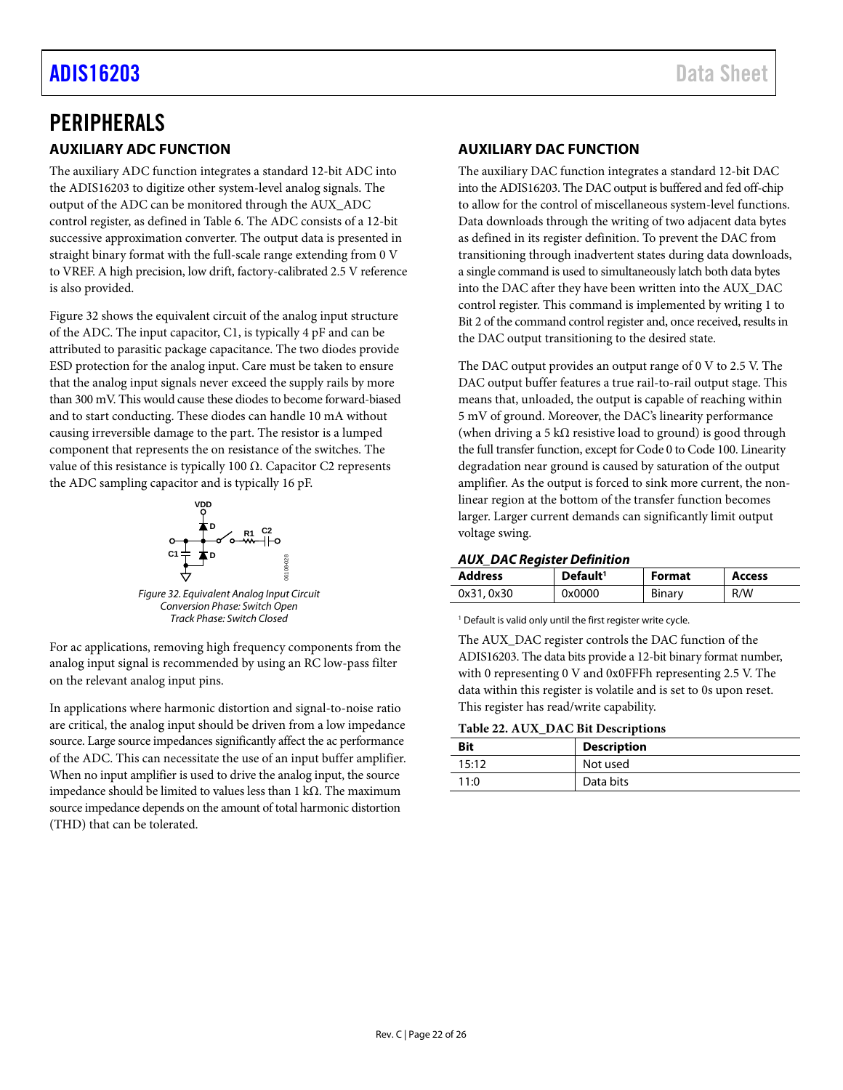# <span id="page-21-1"></span><span id="page-21-0"></span>PERIPHERALS **AUXILIARY ADC FUNCTION**

The auxiliary ADC function integrates a standard 12-bit ADC into the ADIS16203 to digitize other system-level analog signals. The output of the ADC can be monitored through the AUX\_ADC control register, as defined in [Table 6.](#page-12-1) The ADC consists of a 12-bit successive approximation converter. The output data is presented in straight binary format with the full-scale range extending from 0 V to VREF. A high precision, low drift, factory-calibrated 2.5 V reference is also provided.

[Figure 32](#page-21-3) shows the equivalent circuit of the analog input structure of the ADC. The input capacitor, C1, is typically 4 pF and can be attributed to parasitic package capacitance. The two diodes provide ESD protection for the analog input. Care must be taken to ensure that the analog input signals never exceed the supply rails by more than 300 mV. This would cause these diodes to become forward-biased and to start conducting. These diodes can handle 10 mA without causing irreversible damage to the part. The resistor is a lumped component that represents the on resistance of the switches. The value of this resistance is typically 100  $Ω$ . Capacitor C2 represents the ADC sampling capacitor and is typically 16 pF.



*Figure 32. Equivalent Analog Input Circuit Conversion Phase: Switch Open Track Phase: Switch Closed*

<span id="page-21-3"></span>For ac applications, removing high frequency components from the analog input signal is recommended by using an RC low-pass filter on the relevant analog input pins.

In applications where harmonic distortion and signal-to-noise ratio are critical, the analog input should be driven from a low impedance source. Large source impedances significantly affect the ac performance of the ADC. This can necessitate the use of an input buffer amplifier. When no input amplifier is used to drive the analog input, the source impedance should be limited to values less than 1 kΩ. The maximum source impedance depends on the amount of total harmonic distortion (THD) that can be tolerated.

# <span id="page-21-2"></span>**AUXILIARY DAC FUNCTION**

The auxiliary DAC function integrates a standard 12-bit DAC into the ADIS16203. The DAC output is buffered and fed off-chip to allow for the control of miscellaneous system-level functions. Data downloads through the writing of two adjacent data bytes as defined in its register definition. To prevent the DAC from transitioning through inadvertent states during data downloads, a single command is used to simultaneously latch both data bytes into the DAC after they have been written into the AUX\_DAC control register. This command is implemented by writing 1 to Bit 2 of the command control register and, once received, results in the DAC output transitioning to the desired state.

The DAC output provides an output range of 0 V to 2.5 V. The DAC output buffer features a true rail-to-rail output stage. This means that, unloaded, the output is capable of reaching within 5 mV of ground. Moreover, the DAC's linearity performance (when driving a 5 k $\Omega$  resistive load to ground) is good through the full transfer function, except for Code 0 to Code 100. Linearity degradation near ground is caused by saturation of the output amplifier. As the output is forced to sink more current, the nonlinear region at the bottom of the transfer function becomes larger. Larger current demands can significantly limit output voltage swing.

### *AUX\_DAC Register Definition*

| <b>Address</b> | Default <sup>1</sup> | <b>Format</b> | Access |
|----------------|----------------------|---------------|--------|
| 0x31, 0x30     | 0x0000               | Binary        | R/W    |

<sup>1</sup> Default is valid only until the first register write cycle.

The AUX\_DAC register controls the DAC function of the ADIS16203. The data bits provide a 12-bit binary format number, with 0 representing 0 V and 0x0FFFh representing 2.5 V. The data within this register is volatile and is set to 0s upon reset. This register has read/write capability.

### **Table 22. AUX\_DAC Bit Descriptions**

| Bit   | <b>Description</b> |  |
|-------|--------------------|--|
| 15:12 | Not used           |  |
| 11:0  | Data bits          |  |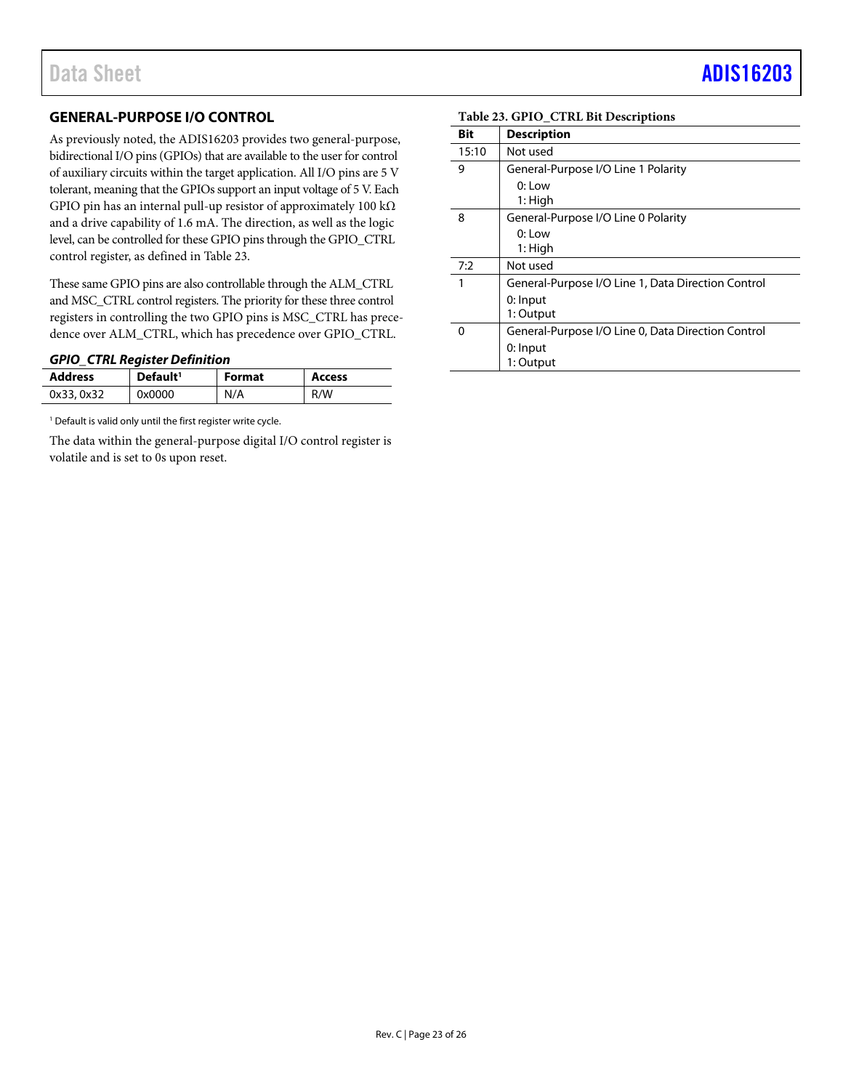### <span id="page-22-0"></span>**GENERAL-PURPOSE I/O CONTROL**

As previously noted, the ADIS16203 provides two general-purpose, bidirectional I/O pins (GPIOs) that are available to the user for control of auxiliary circuits within the target application. All I/O pins are 5 V tolerant, meaning that the GPIOs support an input voltage of 5 V. Each GPIO pin has an internal pull-up resistor of approximately 100 kΩ and a drive capability of 1.6 mA. The direction, as well as the logic level, can be controlled for these GPIO pins through the GPIO\_CTRL control register, as defined in [Table 23.](#page-22-1)

These same GPIO pins are also controllable through the ALM\_CTRL and MSC\_CTRL control registers. The priority for these three control registers in controlling the two GPIO pins is MSC\_CTRL has precedence over ALM\_CTRL, which has precedence over GPIO\_CTRL.

#### *GPIO\_CTRL Register Definition*

| <b>Address</b> | Default <sup>1</sup> | <b>Format</b> | <b>Access</b> |
|----------------|----------------------|---------------|---------------|
| 0x33, 0x32     | 0x0000               | N/A           | R/W           |

<sup>1</sup> Default is valid only until the first register write cycle.

The data within the general-purpose digital I/O control register is volatile and is set to 0s upon reset.

#### <span id="page-22-1"></span>**Table 23. GPIO\_CTRL Bit Descriptions**

| Bit   | <b>Description</b>                                 |
|-------|----------------------------------------------------|
| 15:10 | Not used                                           |
| 9     | General-Purpose I/O Line 1 Polarity                |
|       | $0:1$ ow<br>1: High                                |
| 8     | General-Purpose I/O Line 0 Polarity                |
|       | $0:$ Low<br>1: High                                |
| 7:2   | Not used                                           |
| 1     | General-Purpose I/O Line 1, Data Direction Control |
|       | 0: Input<br>1: Output                              |
| O     | General-Purpose I/O Line 0, Data Direction Control |
|       | 0: Input                                           |
|       | 1: Output                                          |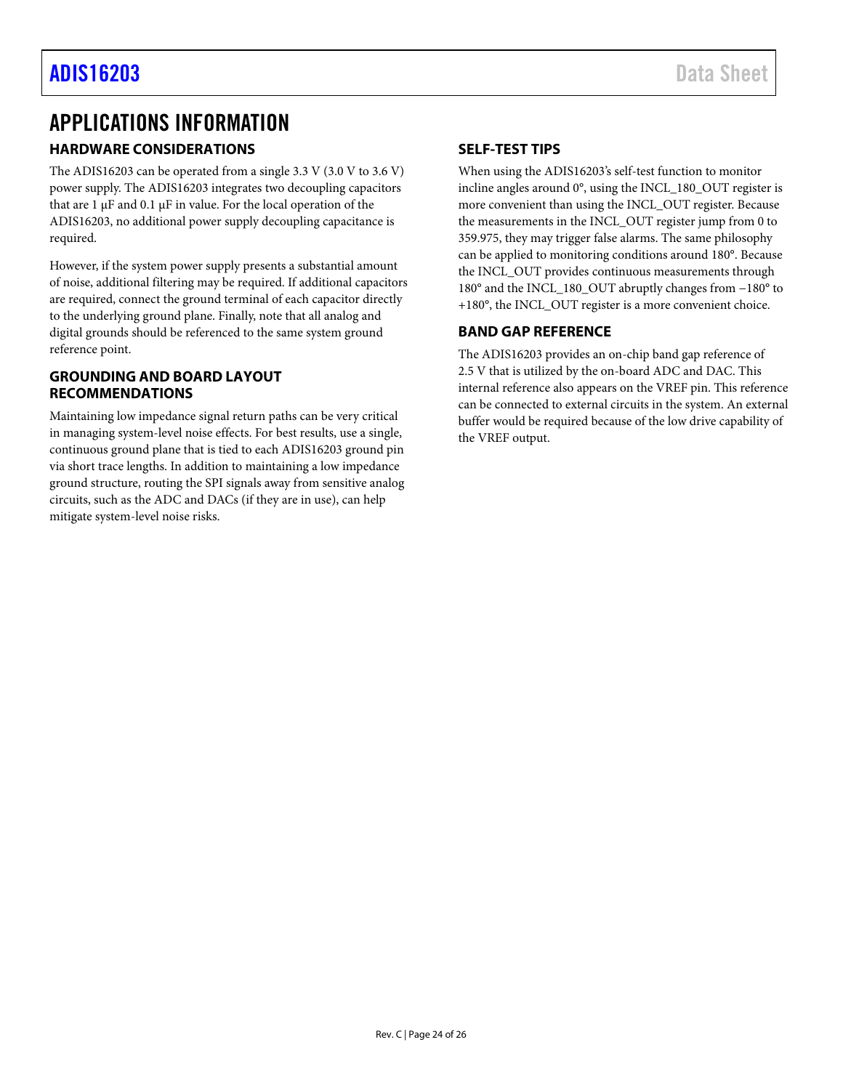# <span id="page-23-0"></span>APPLICATIONS INFORMATION

## <span id="page-23-1"></span>**HARDWARE CONSIDERATIONS**

The ADIS16203 can be operated from a single 3.3 V (3.0 V to 3.6 V) power supply. The ADIS16203 integrates two decoupling capacitors that are 1 μF and 0.1 μF in value. For the local operation of the ADIS16203, no additional power supply decoupling capacitance is required.

However, if the system power supply presents a substantial amount of noise, additional filtering may be required. If additional capacitors are required, connect the ground terminal of each capacitor directly to the underlying ground plane. Finally, note that all analog and digital grounds should be referenced to the same system ground reference point.

### <span id="page-23-2"></span>**GROUNDING AND BOARD LAYOUT RECOMMENDATIONS**

Maintaining low impedance signal return paths can be very critical in managing system-level noise effects. For best results, use a single, continuous ground plane that is tied to each ADIS16203 ground pin via short trace lengths. In addition to maintaining a low impedance ground structure, routing the SPI signals away from sensitive analog circuits, such as the ADC and DACs (if they are in use), can help mitigate system-level noise risks.

### <span id="page-23-3"></span>**SELF-TEST TIPS**

When using the ADIS16203's self-test function to monitor incline angles around 0°, using the INCL\_180\_OUT register is more convenient than using the INCL\_OUT register. Because the measurements in the INCL\_OUT register jump from 0 to 359.975, they may trigger false alarms. The same philosophy can be applied to monitoring conditions around 180°. Because the INCL\_OUT provides continuous measurements through 180° and the INCL\_180\_OUT abruptly changes from −180° to +180°, the INCL\_OUT register is a more convenient choice.

### <span id="page-23-4"></span>**BAND GAP REFERENCE**

The ADIS16203 provides an on-chip band gap reference of 2.5 V that is utilized by the on-board ADC and DAC. This internal reference also appears on the VREF pin. This reference can be connected to external circuits in the system. An external buffer would be required because of the low drive capability of the VREF output.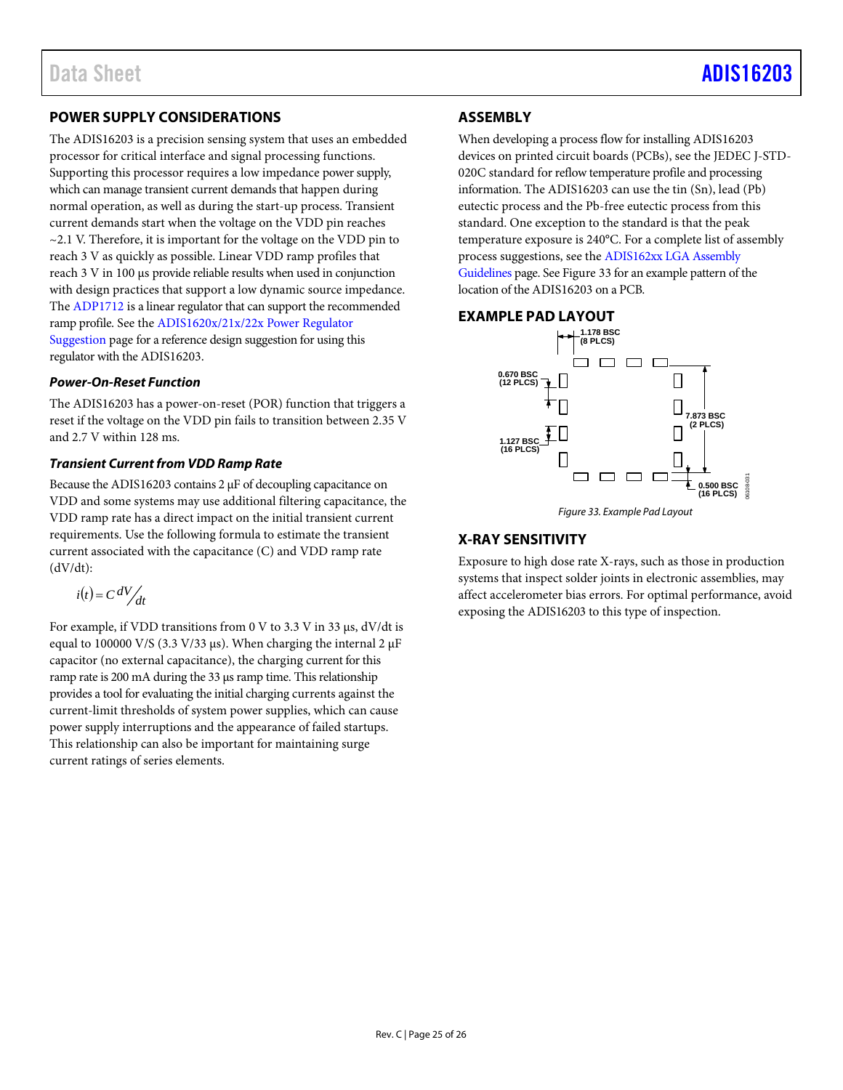# <span id="page-24-0"></span>**POWER SUPPLY CONSIDERATIONS**

The ADIS16203 is a precision sensing system that uses an embedded processor for critical interface and signal processing functions. Supporting this processor requires a low impedance power supply, which can manage transient current demands that happen during normal operation, as well as during the start-up process. Transient current demands start when the voltage on the VDD pin reaches  $\sim$  2.1 V. Therefore, it is important for the voltage on the VDD pin to reach 3 V as quickly as possible. Linear VDD ramp profiles that reach 3 V in 100 µs provide reliable results when used in conjunction with design practices that support a low dynamic source impedance. The [ADP1712](http://www.analog.com/ADP1712?doc=ADIS16203.pdf) is a linear regulator that can support the recommended ramp profile. See th[e ADIS1620x/21x/22x Power Regulator](https://ez.analog.com/mems/w/documents/4398/faq-adis1620x-21x-22x-power-regulator-suggestion?doc=ADIS16203.pdf)  [Suggestion](https://ez.analog.com/mems/w/documents/4398/faq-adis1620x-21x-22x-power-regulator-suggestion?doc=ADIS16203.pdf) page for a reference design suggestion for using this regulator with the ADIS16203.

### *Power-On-Reset Function*

The ADIS16203 has a power-on-reset (POR) function that triggers a reset if the voltage on the VDD pin fails to transition between 2.35 V and 2.7 V within 128 ms.

### *Transient Current from VDD Ramp Rate*

Because the ADIS16203 contains 2 μF of decoupling capacitance on VDD and some systems may use additional filtering capacitance, the VDD ramp rate has a direct impact on the initial transient current requirements. Use the following formula to estimate the transient current associated with the capacitance (C) and VDD ramp rate (dV/dt):

$$
i(t) = C \, dV / \, dt
$$

For example, if VDD transitions from 0 V to 3.3 V in 33 µs, dV/dt is equal to 100000 V/S (3.3 V/33  $\mu$ s). When charging the internal 2  $\mu$ F capacitor (no external capacitance), the charging current for this ramp rate is 200 mA during the 33 µs ramp time. This relationship provides a tool for evaluating the initial charging currents against the current-limit thresholds of system power supplies, which can cause power supply interruptions and the appearance of failed startups. This relationship can also be important for maintaining surge current ratings of series elements.

# <span id="page-24-1"></span>**ASSEMBLY**

When developing a process flow for installing ADIS16203 devices on printed circuit boards (PCBs), see the JEDEC J-STD-020C standard for reflow temperature profile and processing information. The ADIS16203 can use the tin (Sn), lead (Pb) eutectic process and the Pb-free eutectic process from this standard. One exception to the standard is that the peak temperature exposure is 240°C. For a complete list of assembly process suggestions, see the [ADIS162xx LGA Assembly](https://ez.analog.com/mems/w/documents/4401/faq-adis162xx-lga-assembly-guidelines?doc=ADIS16203.pdf)  [Guidelines](https://ez.analog.com/mems/w/documents/4401/faq-adis162xx-lga-assembly-guidelines?doc=ADIS16203.pdf) page. Se[e Figure 33](#page-24-4) for an example pattern of the location of the ADIS16203 on a PCB.

### <span id="page-24-2"></span>**EXAMPLE PAD LAYOUT**



*Figure 33. Example Pad Layout*

## <span id="page-24-4"></span><span id="page-24-3"></span>**X-RAY SENSITIVITY**

Exposure to high dose rate X-rays, such as those in production systems that inspect solder joints in electronic assemblies, may affect accelerometer bias errors. For optimal performance, avoid exposing th[e ADIS16203](http://www.analog.com/ADIS16405?doc=ADIS16405.pdf) to this type of inspection.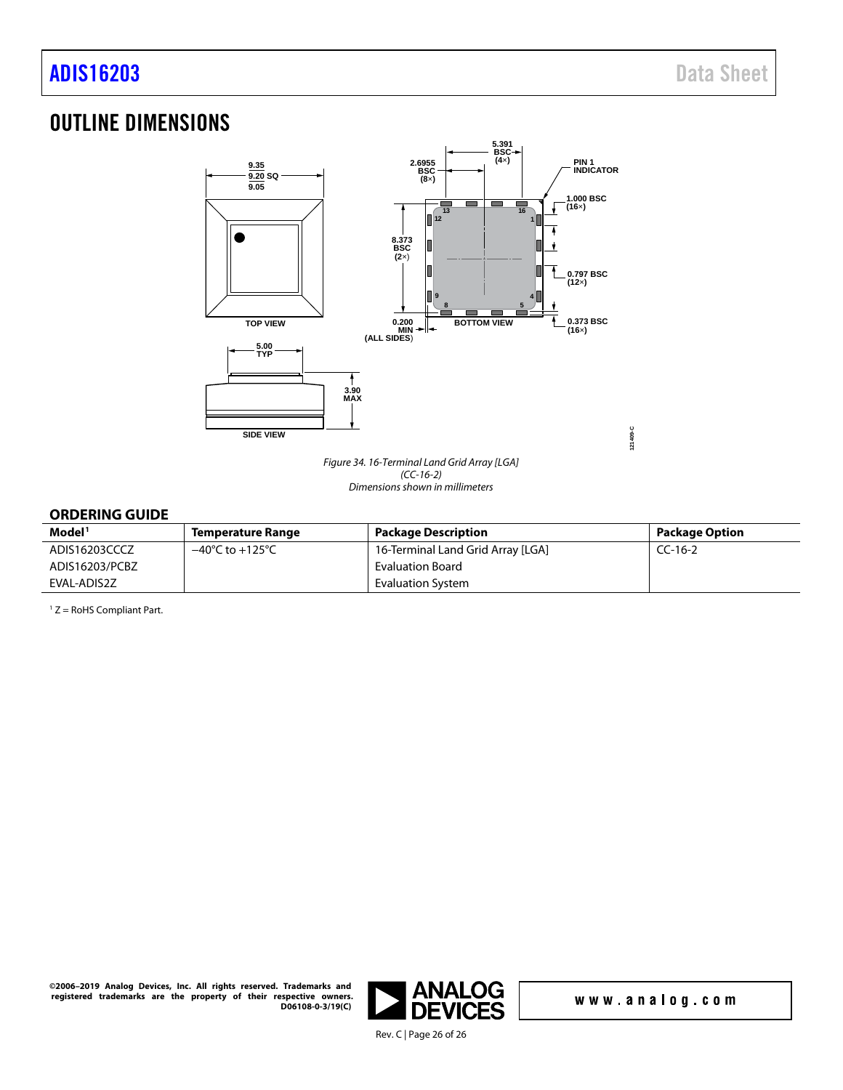# <span id="page-25-0"></span>OUTLINE DIMENSIONS



*Figure 34. 16-Terminal Land Grid Array [LGA] (CC-16-2) Dimensions shown in millimeters*

# <span id="page-25-1"></span>**ORDERING GUIDE**

| Model <sup>1</sup> | <b>Temperature Range</b>            | <b>Package Description</b>        | Package Option |
|--------------------|-------------------------------------|-----------------------------------|----------------|
| ADIS16203CCCZ      | $-40^{\circ}$ C to $+125^{\circ}$ C | 16-Terminal Land Grid Array [LGA] | $CC-16-2$      |
| ADIS16203/PCBZ     |                                     | Evaluation Board                  |                |
| EVAL-ADIS2Z        |                                     | Evaluation System                 |                |

 $1 Z =$  RoHS Compliant Part.

**©2006–2019 Analog Devices, Inc. All rights reserved. Trademarks and registered trademarks are the property of their respective owners. D06108-0-3/19(C)** 



www.analog.com

**121409-C**

Rev. C | Page 26 of 26